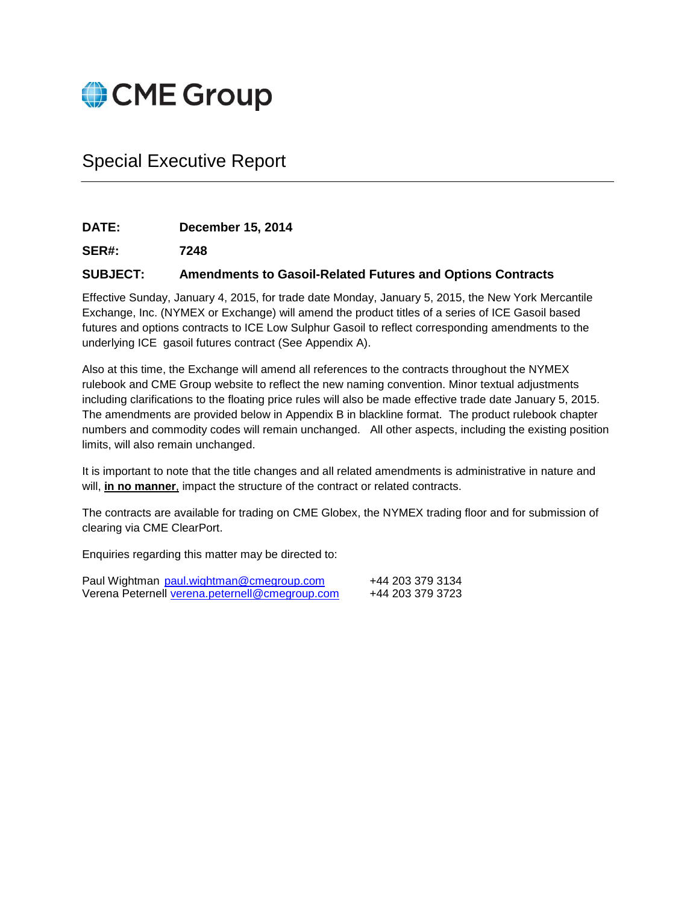

# Special Executive Report

**DATE: December 15, 2014**

**SER#: 7248**

### **SUBJECT: Amendments to Gasoil-Related Futures and Options Contracts**

Effective Sunday, January 4, 2015, for trade date Monday, January 5, 2015, the New York Mercantile Exchange, Inc. (NYMEX or Exchange) will amend the product titles of a series of ICE Gasoil based futures and options contracts to ICE Low Sulphur Gasoil to reflect corresponding amendments to the underlying ICE gasoil futures contract (See Appendix A).

Also at this time, the Exchange will amend all references to the contracts throughout the NYMEX rulebook and CME Group website to reflect the new naming convention. Minor textual adjustments including clarifications to the floating price rules will also be made effective trade date January 5, 2015. The amendments are provided below in Appendix B in blackline format. The product rulebook chapter numbers and commodity codes will remain unchanged. All other aspects, including the existing position limits, will also remain unchanged.

It is important to note that the title changes and all related amendments is administrative in nature and will, **in no manner**, impact the structure of the contract or related contracts.

The contracts are available for trading on CME Globex, the NYMEX trading floor and for submission of clearing via CME ClearPort.

Enquiries regarding this matter may be directed to:

| Paul Wightman paul.wightman@cmegroup.com       | +44 203 379 3134 |
|------------------------------------------------|------------------|
| Verena Peternell verena.peternell@cmegroup.com | +44 203 379 3723 |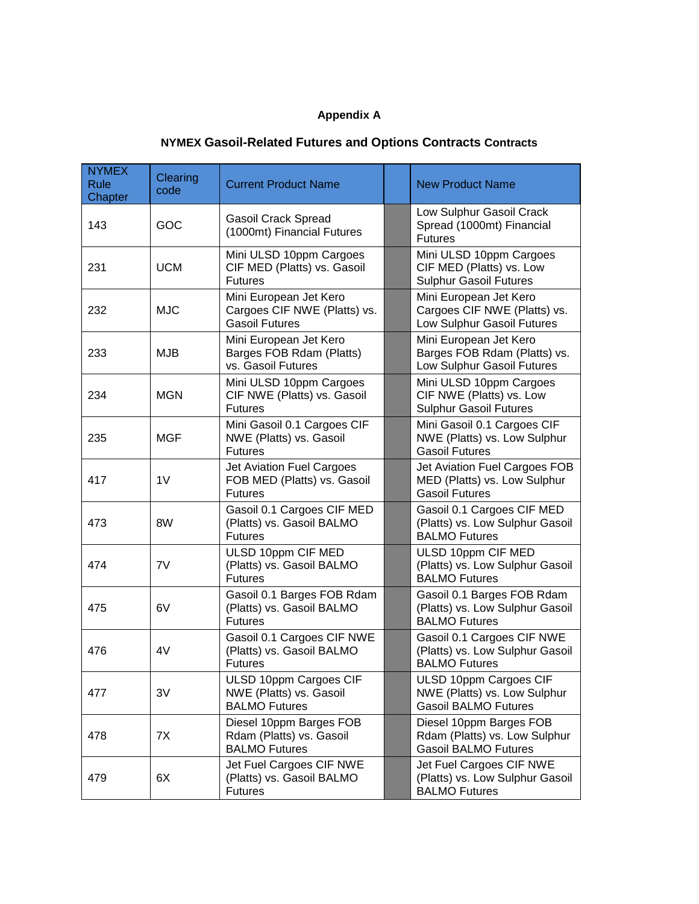## **Appendix A**

# **NYMEX Gasoil-Related Futures and Options Contracts Contracts**

| <b>NYMEX</b><br><b>Rule</b><br>Chapter | Clearing<br>code | <b>Current Product Name</b>                                                     | <b>New Product Name</b>                                                                 |
|----------------------------------------|------------------|---------------------------------------------------------------------------------|-----------------------------------------------------------------------------------------|
| 143                                    | GOC              | <b>Gasoil Crack Spread</b><br>(1000mt) Financial Futures                        | Low Sulphur Gasoil Crack<br>Spread (1000mt) Financial<br><b>Futures</b>                 |
| 231                                    | <b>UCM</b>       | Mini ULSD 10ppm Cargoes<br>CIF MED (Platts) vs. Gasoil<br><b>Futures</b>        | Mini ULSD 10ppm Cargoes<br>CIF MED (Platts) vs. Low<br><b>Sulphur Gasoil Futures</b>    |
| 232                                    | <b>MJC</b>       | Mini European Jet Kero<br>Cargoes CIF NWE (Platts) vs.<br><b>Gasoil Futures</b> | Mini European Jet Kero<br>Cargoes CIF NWE (Platts) vs.<br>Low Sulphur Gasoil Futures    |
| 233                                    | <b>MJB</b>       | Mini European Jet Kero<br>Barges FOB Rdam (Platts)<br>vs. Gasoil Futures        | Mini European Jet Kero<br>Barges FOB Rdam (Platts) vs.<br>Low Sulphur Gasoil Futures    |
| 234                                    | <b>MGN</b>       | Mini ULSD 10ppm Cargoes<br>CIF NWE (Platts) vs. Gasoil<br><b>Futures</b>        | Mini ULSD 10ppm Cargoes<br>CIF NWE (Platts) vs. Low<br><b>Sulphur Gasoil Futures</b>    |
| 235                                    | <b>MGF</b>       | Mini Gasoil 0.1 Cargoes CIF<br>NWE (Platts) vs. Gasoil<br><b>Futures</b>        | Mini Gasoil 0.1 Cargoes CIF<br>NWE (Platts) vs. Low Sulphur<br><b>Gasoil Futures</b>    |
| 417                                    | 1 <sub>V</sub>   | Jet Aviation Fuel Cargoes<br>FOB MED (Platts) vs. Gasoil<br><b>Futures</b>      | Jet Aviation Fuel Cargoes FOB<br>MED (Platts) vs. Low Sulphur<br><b>Gasoil Futures</b>  |
| 473                                    | 8W               | Gasoil 0.1 Cargoes CIF MED<br>(Platts) vs. Gasoil BALMO<br><b>Futures</b>       | Gasoil 0.1 Cargoes CIF MED<br>(Platts) vs. Low Sulphur Gasoil<br><b>BALMO Futures</b>   |
| 474                                    | 7V               | ULSD 10ppm CIF MED<br>(Platts) vs. Gasoil BALMO<br><b>Futures</b>               | ULSD 10ppm CIF MED<br>(Platts) vs. Low Sulphur Gasoil<br><b>BALMO Futures</b>           |
| 475                                    | 6V               | Gasoil 0.1 Barges FOB Rdam<br>(Platts) vs. Gasoil BALMO<br><b>Futures</b>       | Gasoil 0.1 Barges FOB Rdam<br>(Platts) vs. Low Sulphur Gasoil<br><b>BALMO Futures</b>   |
| 476                                    | 4V               | Gasoil 0.1 Cargoes CIF NWE<br>(Platts) vs. Gasoil BALMO<br><b>Futures</b>       | Gasoil 0.1 Cargoes CIF NWE<br>(Platts) vs. Low Sulphur Gasoil<br><b>BALMO Futures</b>   |
| 477                                    | 3V               | ULSD 10ppm Cargoes CIF<br>NWE (Platts) vs. Gasoil<br><b>BALMO Futures</b>       | ULSD 10ppm Cargoes CIF<br>NWE (Platts) vs. Low Sulphur<br><b>Gasoil BALMO Futures</b>   |
| 478                                    | 7X               | Diesel 10ppm Barges FOB<br>Rdam (Platts) vs. Gasoil<br><b>BALMO Futures</b>     | Diesel 10ppm Barges FOB<br>Rdam (Platts) vs. Low Sulphur<br><b>Gasoil BALMO Futures</b> |
| 479                                    | 6X               | Jet Fuel Cargoes CIF NWE<br>(Platts) vs. Gasoil BALMO<br><b>Futures</b>         | Jet Fuel Cargoes CIF NWE<br>(Platts) vs. Low Sulphur Gasoil<br><b>BALMO Futures</b>     |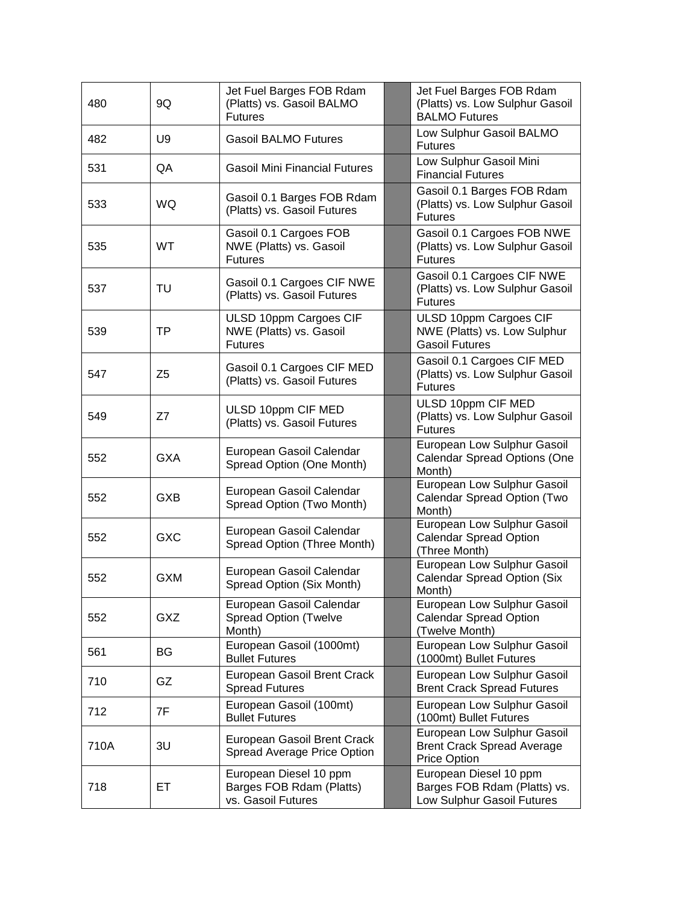| 480  | 9Q             | Jet Fuel Barges FOB Rdam<br>(Platts) vs. Gasoil BALMO<br><b>Futures</b>  | Jet Fuel Barges FOB Rdam<br>(Platts) vs. Low Sulphur Gasoil<br><b>BALMO Futures</b>  |
|------|----------------|--------------------------------------------------------------------------|--------------------------------------------------------------------------------------|
| 482  | U9             | <b>Gasoil BALMO Futures</b>                                              | Low Sulphur Gasoil BALMO<br><b>Futures</b>                                           |
| 531  | QA             | <b>Gasoil Mini Financial Futures</b>                                     | Low Sulphur Gasoil Mini<br><b>Financial Futures</b>                                  |
| 533  | <b>WQ</b>      | Gasoil 0.1 Barges FOB Rdam<br>(Platts) vs. Gasoil Futures                | Gasoil 0.1 Barges FOB Rdam<br>(Platts) vs. Low Sulphur Gasoil<br><b>Futures</b>      |
| 535  | <b>WT</b>      | Gasoil 0.1 Cargoes FOB<br>NWE (Platts) vs. Gasoil<br><b>Futures</b>      | Gasoil 0.1 Cargoes FOB NWE<br>(Platts) vs. Low Sulphur Gasoil<br><b>Futures</b>      |
| 537  | TU             | Gasoil 0.1 Cargoes CIF NWE<br>(Platts) vs. Gasoil Futures                | Gasoil 0.1 Cargoes CIF NWE<br>(Platts) vs. Low Sulphur Gasoil<br><b>Futures</b>      |
| 539  | <b>TP</b>      | ULSD 10ppm Cargoes CIF<br>NWE (Platts) vs. Gasoil<br><b>Futures</b>      | ULSD 10ppm Cargoes CIF<br>NWE (Platts) vs. Low Sulphur<br><b>Gasoil Futures</b>      |
| 547  | Z <sub>5</sub> | Gasoil 0.1 Cargoes CIF MED<br>(Platts) vs. Gasoil Futures                | Gasoil 0.1 Cargoes CIF MED<br>(Platts) vs. Low Sulphur Gasoil<br><b>Futures</b>      |
| 549  | Z7             | ULSD 10ppm CIF MED<br>(Platts) vs. Gasoil Futures                        | ULSD 10ppm CIF MED<br>(Platts) vs. Low Sulphur Gasoil<br><b>Futures</b>              |
| 552  | <b>GXA</b>     | European Gasoil Calendar<br>Spread Option (One Month)                    | European Low Sulphur Gasoil<br>Calendar Spread Options (One<br>Month)                |
| 552  | <b>GXB</b>     | European Gasoil Calendar<br>Spread Option (Two Month)                    | European Low Sulphur Gasoil<br>Calendar Spread Option (Two<br>Month)                 |
| 552  | <b>GXC</b>     | European Gasoil Calendar<br>Spread Option (Three Month)                  | European Low Sulphur Gasoil<br><b>Calendar Spread Option</b><br>(Three Month)        |
| 552  | <b>GXM</b>     | European Gasoil Calendar<br>Spread Option (Six Month)                    | European Low Sulphur Gasoil<br><b>Calendar Spread Option (Six</b><br>Month)          |
| 552  | GXZ            | European Gasoil Calendar<br><b>Spread Option (Twelve</b><br>Month)       | European Low Sulphur Gasoil<br><b>Calendar Spread Option</b><br>(Twelve Month)       |
| 561  | BG             | European Gasoil (1000mt)<br><b>Bullet Futures</b>                        | European Low Sulphur Gasoil<br>(1000mt) Bullet Futures                               |
| 710  | GZ             | European Gasoil Brent Crack<br><b>Spread Futures</b>                     | European Low Sulphur Gasoil<br><b>Brent Crack Spread Futures</b>                     |
| 712  | 7F             | European Gasoil (100mt)<br><b>Bullet Futures</b>                         | European Low Sulphur Gasoil<br>(100mt) Bullet Futures                                |
| 710A | 3U             | European Gasoil Brent Crack<br>Spread Average Price Option               | European Low Sulphur Gasoil<br><b>Brent Crack Spread Average</b><br>Price Option     |
| 718  | EТ             | European Diesel 10 ppm<br>Barges FOB Rdam (Platts)<br>vs. Gasoil Futures | European Diesel 10 ppm<br>Barges FOB Rdam (Platts) vs.<br>Low Sulphur Gasoil Futures |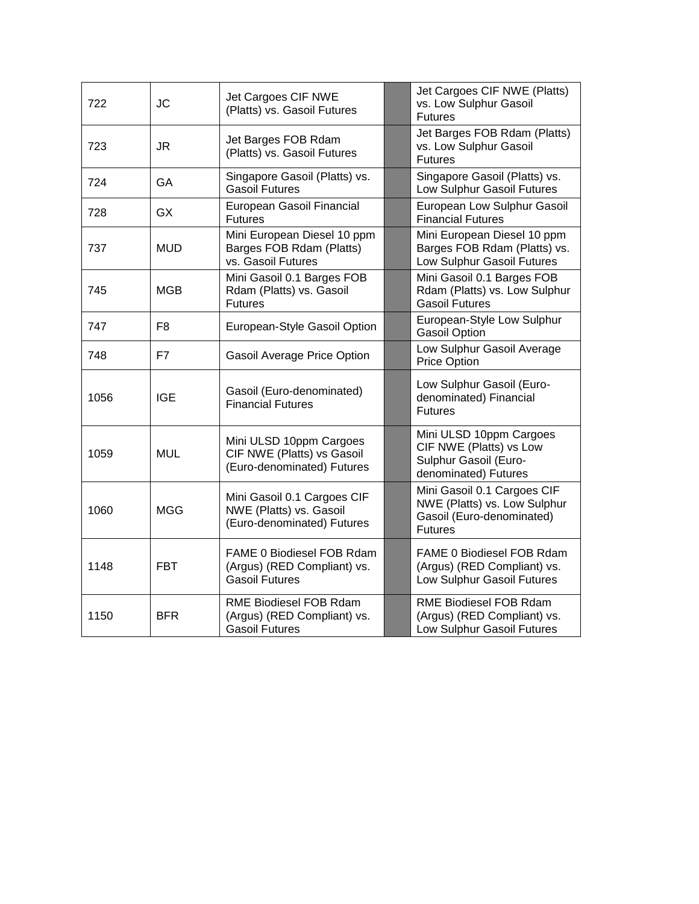| 722  | <b>JC</b>  | Jet Cargoes CIF NWE<br>(Platts) vs. Gasoil Futures                                   | Jet Cargoes CIF NWE (Platts)<br>vs. Low Sulphur Gasoil<br><b>Futures</b>                                   |
|------|------------|--------------------------------------------------------------------------------------|------------------------------------------------------------------------------------------------------------|
| 723  | <b>JR</b>  | Jet Barges FOB Rdam<br>(Platts) vs. Gasoil Futures                                   | Jet Barges FOB Rdam (Platts)<br>vs. Low Sulphur Gasoil<br><b>Futures</b>                                   |
| 724  | GA         | Singapore Gasoil (Platts) vs.<br><b>Gasoil Futures</b>                               | Singapore Gasoil (Platts) vs.<br>Low Sulphur Gasoil Futures                                                |
| 728  | <b>GX</b>  | European Gasoil Financial<br><b>Futures</b>                                          | European Low Sulphur Gasoil<br><b>Financial Futures</b>                                                    |
| 737  | <b>MUD</b> | Mini European Diesel 10 ppm<br>Barges FOB Rdam (Platts)<br>vs. Gasoil Futures        | Mini European Diesel 10 ppm<br>Barges FOB Rdam (Platts) vs.<br>Low Sulphur Gasoil Futures                  |
| 745  | <b>MGB</b> | Mini Gasoil 0.1 Barges FOB<br>Rdam (Platts) vs. Gasoil<br><b>Futures</b>             | Mini Gasoil 0.1 Barges FOB<br>Rdam (Platts) vs. Low Sulphur<br><b>Gasoil Futures</b>                       |
| 747  | F8         | European-Style Gasoil Option                                                         | European-Style Low Sulphur<br><b>Gasoil Option</b>                                                         |
| 748  | F7         | Gasoil Average Price Option                                                          | Low Sulphur Gasoil Average<br><b>Price Option</b>                                                          |
| 1056 | <b>IGE</b> | Gasoil (Euro-denominated)<br><b>Financial Futures</b>                                | Low Sulphur Gasoil (Euro-<br>denominated) Financial<br><b>Futures</b>                                      |
| 1059 | <b>MUL</b> | Mini ULSD 10ppm Cargoes<br>CIF NWE (Platts) vs Gasoil<br>(Euro-denominated) Futures  | Mini ULSD 10ppm Cargoes<br>CIF NWE (Platts) vs Low<br>Sulphur Gasoil (Euro-<br>denominated) Futures        |
| 1060 | <b>MGG</b> | Mini Gasoil 0.1 Cargoes CIF<br>NWE (Platts) vs. Gasoil<br>(Euro-denominated) Futures | Mini Gasoil 0.1 Cargoes CIF<br>NWE (Platts) vs. Low Sulphur<br>Gasoil (Euro-denominated)<br><b>Futures</b> |
| 1148 | <b>FBT</b> | FAME 0 Biodiesel FOB Rdam<br>(Argus) (RED Compliant) vs.<br><b>Gasoil Futures</b>    | FAME 0 Biodiesel FOB Rdam<br>(Argus) (RED Compliant) vs.<br>Low Sulphur Gasoil Futures                     |
| 1150 | <b>BFR</b> | RME Biodiesel FOB Rdam<br>(Argus) (RED Compliant) vs.<br><b>Gasoil Futures</b>       | RME Biodiesel FOB Rdam<br>(Argus) (RED Compliant) vs.<br>Low Sulphur Gasoil Futures                        |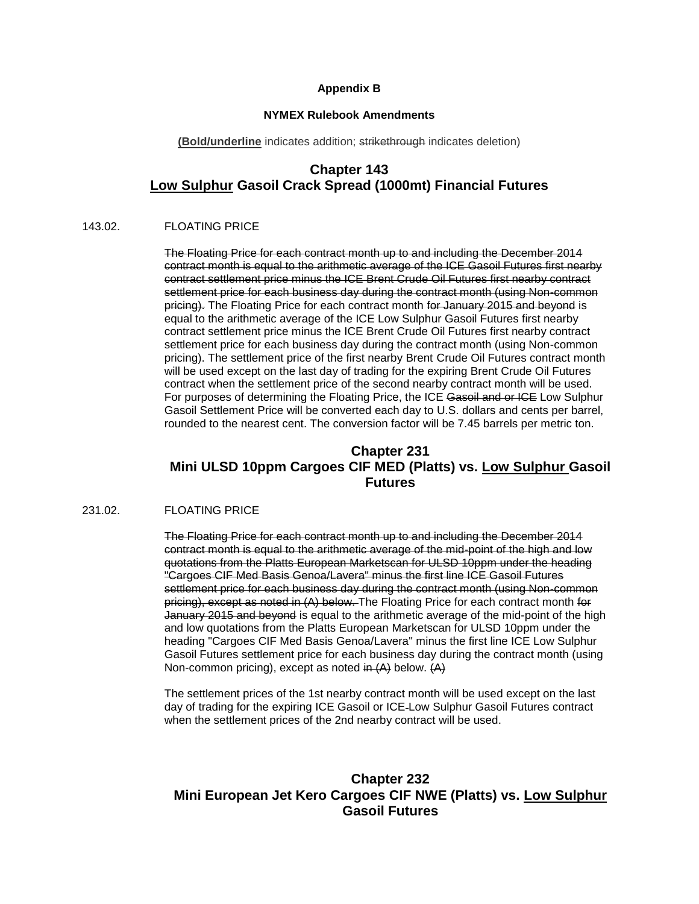### **Appendix B**

#### **NYMEX Rulebook Amendments**

**(Bold/underline** indicates addition; strikethrough indicates deletion)

## **Chapter 143 Low Sulphur Gasoil Crack Spread (1000mt) Financial Futures**

### 143.02. FLOATING PRICE

The Floating Price for each contract month up to and including the December 2014 contract month is equal to the arithmetic average of the ICE Gasoil Futures first nearby contract settlement price minus the ICE Brent Crude Oil Futures first nearby contract settlement price for each business day during the contract month (using Non-common pricing). The Floating Price for each contract month for January 2015 and beyond is equal to the arithmetic average of the ICE Low Sulphur Gasoil Futures first nearby contract settlement price minus the ICE Brent Crude Oil Futures first nearby contract settlement price for each business day during the contract month (using Non-common pricing). The settlement price of the first nearby Brent Crude Oil Futures contract month will be used except on the last day of trading for the expiring Brent Crude Oil Futures contract when the settlement price of the second nearby contract month will be used. For purposes of determining the Floating Price, the ICE Gasoil and or ICE Low Sulphur Gasoil Settlement Price will be converted each day to U.S. dollars and cents per barrel, rounded to the nearest cent. The conversion factor will be 7.45 barrels per metric ton.

## **Chapter 231 Mini ULSD 10ppm Cargoes CIF MED (Platts) vs. Low Sulphur Gasoil Futures**

### 231.02. FLOATING PRICE

The Floating Price for each contract month up to and including the December 2014 contract month is equal to the arithmetic average of the mid-point of the high and low quotations from the Platts European Marketscan for ULSD 10ppm under the heading "Cargoes CIF Med Basis Genoa/Lavera" minus the first line ICE Gasoil Futures settlement price for each business day during the contract month (using Non-common pricing), except as noted in (A) below. The Floating Price for each contract month for January 2015 and beyond is equal to the arithmetic average of the mid-point of the high and low quotations from the Platts European Marketscan for ULSD 10ppm under the heading "Cargoes CIF Med Basis Genoa/Lavera" minus the first line ICE Low Sulphur Gasoil Futures settlement price for each business day during the contract month (using Non-common pricing), except as noted in (A) below. (A)

The settlement prices of the 1st nearby contract month will be used except on the last day of trading for the expiring ICE Gasoil or ICE Low Sulphur Gasoil Futures contract when the settlement prices of the 2nd nearby contract will be used.

## **Chapter 232 Mini European Jet Kero Cargoes CIF NWE (Platts) vs. Low Sulphur Gasoil Futures**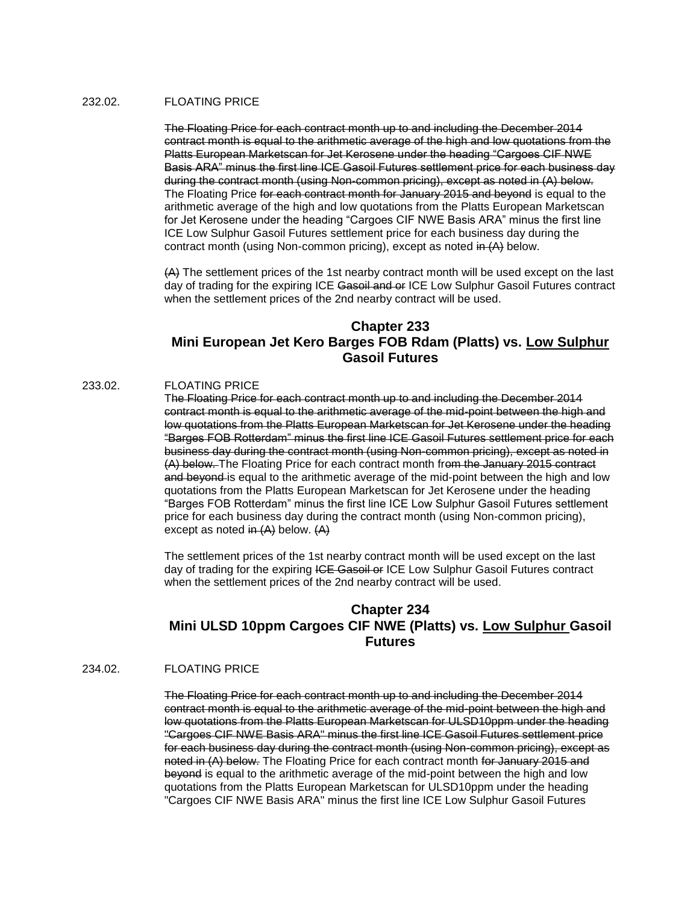#### 232.02. FLOATING PRICE

The Floating Price for each contract month up to and including the December 2014 contract month is equal to the arithmetic average of the high and low quotations from the Platts European Marketscan for Jet Kerosene under the heading "Cargoes CIF NWE Basis ARA" minus the first line ICE Gasoil Futures settlement price for each business day during the contract month (using Non-common pricing), except as noted in (A) below. The Floating Price for each contract month for January 2015 and beyond is equal to the arithmetic average of the high and low quotations from the Platts European Marketscan for Jet Kerosene under the heading "Cargoes CIF NWE Basis ARA" minus the first line ICE Low Sulphur Gasoil Futures settlement price for each business day during the contract month (using Non-common pricing), except as noted in (A) below.

(A) The settlement prices of the 1st nearby contract month will be used except on the last day of trading for the expiring ICE Gasoil and or ICE Low Sulphur Gasoil Futures contract when the settlement prices of the 2nd nearby contract will be used.

## **Chapter 233 Mini European Jet Kero Barges FOB Rdam (Platts) vs. Low Sulphur Gasoil Futures**

### 233.02. FLOATING PRICE

The Floating Price for each contract month up to and including the December 2014 contract month is equal to the arithmetic average of the mid-point between the high and low quotations from the Platts European Marketscan for Jet Kerosene under the heading "Barges FOB Rotterdam" minus the first line ICE Gasoil Futures settlement price for each business day during the contract month (using Non-common pricing), except as noted in (A) below. The Floating Price for each contract month from the January 2015 contract and beyond is equal to the arithmetic average of the mid-point between the high and low quotations from the Platts European Marketscan for Jet Kerosene under the heading "Barges FOB Rotterdam" minus the first line ICE Low Sulphur Gasoil Futures settlement price for each business day during the contract month (using Non-common pricing), except as noted in  $(A)$  below.  $(A)$ 

The settlement prices of the 1st nearby contract month will be used except on the last day of trading for the expiring ICE Gasoil or ICE Low Sulphur Gasoil Futures contract when the settlement prices of the 2nd nearby contract will be used.

## **Chapter 234 Mini ULSD 10ppm Cargoes CIF NWE (Platts) vs. Low Sulphur Gasoil Futures**

### 234.02. FLOATING PRICE

The Floating Price for each contract month up to and including the December 2014 contract month is equal to the arithmetic average of the mid-point between the high and low quotations from the Platts European Marketscan for ULSD10ppm under the heading "Cargoes CIF NWE Basis ARA" minus the first line ICE Gasoil Futures settlement price for each business day during the contract month (using Non-common pricing), except as noted in (A) below. The Floating Price for each contract month for January 2015 and beyond is equal to the arithmetic average of the mid-point between the high and low quotations from the Platts European Marketscan for ULSD10ppm under the heading "Cargoes CIF NWE Basis ARA" minus the first line ICE Low Sulphur Gasoil Futures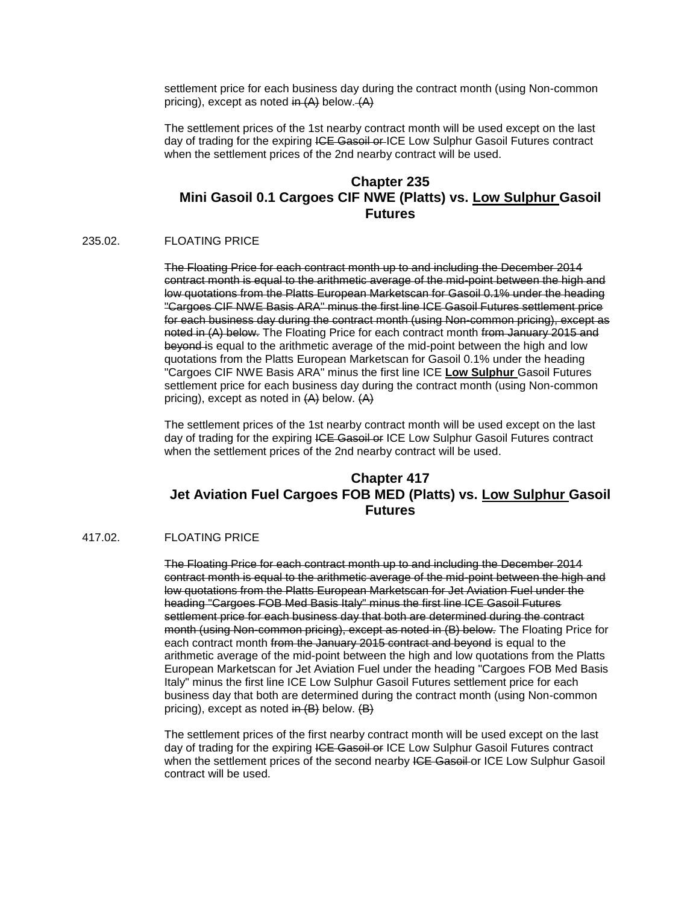settlement price for each business day during the contract month (using Non-common pricing), except as noted in  $(A)$  below.  $(A)$ 

The settlement prices of the 1st nearby contract month will be used except on the last day of trading for the expiring ICE Gasoil or ICE Low Sulphur Gasoil Futures contract when the settlement prices of the 2nd nearby contract will be used.

## **Chapter 235 Mini Gasoil 0.1 Cargoes CIF NWE (Platts) vs. Low Sulphur Gasoil Futures**

### 235.02. FLOATING PRICE

The Floating Price for each contract month up to and including the December 2014 contract month is equal to the arithmetic average of the mid-point between the high and low quotations from the Platts European Marketscan for Gasoil 0.1% under the heading "Cargoes CIF NWE Basis ARA" minus the first line ICE Gasoil Futures settlement price for each business day during the contract month (using Non-common pricing), except as noted in (A) below. The Floating Price for each contract month from January 2015 and beyond is equal to the arithmetic average of the mid-point between the high and low quotations from the Platts European Marketscan for Gasoil 0.1% under the heading "Cargoes CIF NWE Basis ARA" minus the first line ICE **Low Sulphur** Gasoil Futures settlement price for each business day during the contract month (using Non-common pricing), except as noted in (A) below. (A)

The settlement prices of the 1st nearby contract month will be used except on the last day of trading for the expiring ICE Gaseil or ICE Low Sulphur Gasoil Futures contract when the settlement prices of the 2nd nearby contract will be used.

## **Chapter 417 Jet Aviation Fuel Cargoes FOB MED (Platts) vs. Low Sulphur Gasoil Futures**

#### 417.02. FLOATING PRICE

The Floating Price for each contract month up to and including the December 2014 contract month is equal to the arithmetic average of the mid-point between the high and low quotations from the Platts European Marketscan for Jet Aviation Fuel under the heading "Cargoes FOB Med Basis Italy" minus the first line ICE Gasoil Futures settlement price for each business day that both are determined during the contract month (using Non-common pricing), except as noted in (B) below. The Floating Price for each contract month from the January 2015 contract and beyond is equal to the arithmetic average of the mid-point between the high and low quotations from the Platts European Marketscan for Jet Aviation Fuel under the heading "Cargoes FOB Med Basis Italy" minus the first line ICE Low Sulphur Gasoil Futures settlement price for each business day that both are determined during the contract month (using Non-common pricing), except as noted in (B) below. (B)

The settlement prices of the first nearby contract month will be used except on the last day of trading for the expiring ICE Gasoil or ICE Low Sulphur Gasoil Futures contract when the settlement prices of the second nearby ICE Gasoil or ICE Low Sulphur Gasoil contract will be used.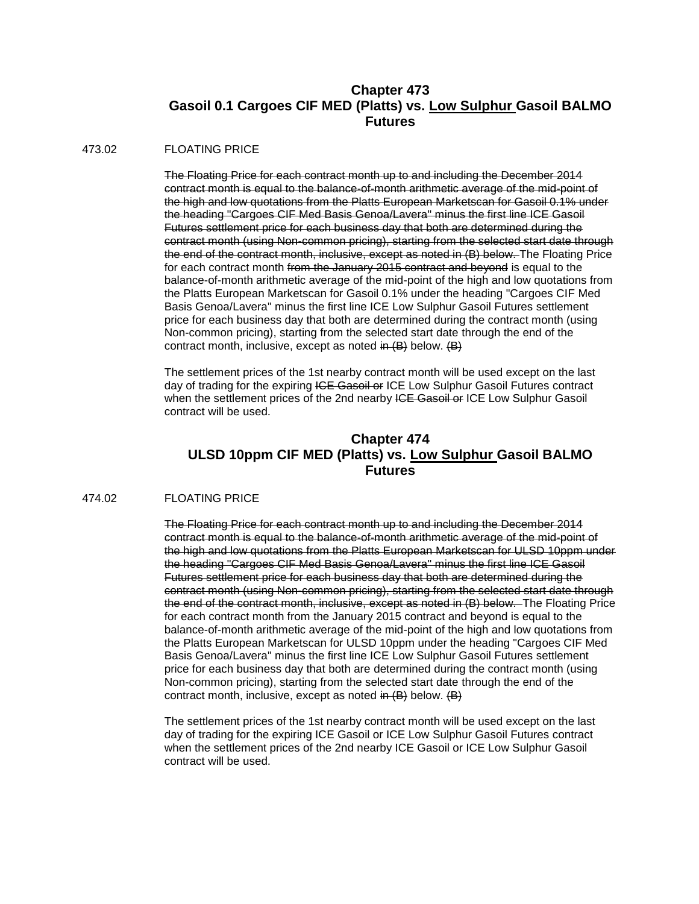## **Chapter 473 Gasoil 0.1 Cargoes CIF MED (Platts) vs. Low Sulphur Gasoil BALMO Futures**

#### 473.02 FLOATING PRICE

The Floating Price for each contract month up to and including the December 2014 contract month is equal to the balance-of-month arithmetic average of the mid-point of the high and low quotations from the Platts European Marketscan for Gasoil 0.1% under the heading "Cargoes CIF Med Basis Genoa/Lavera" minus the first line ICE Gasoil Futures settlement price for each business day that both are determined during the contract month (using Non-common pricing), starting from the selected start date through the end of the contract month, inclusive, except as noted in (B) below. The Floating Price for each contract month from the January 2015 contract and beyond is equal to the balance-of-month arithmetic average of the mid-point of the high and low quotations from the Platts European Marketscan for Gasoil 0.1% under the heading "Cargoes CIF Med Basis Genoa/Lavera" minus the first line ICE Low Sulphur Gasoil Futures settlement price for each business day that both are determined during the contract month (using Non-common pricing), starting from the selected start date through the end of the contract month, inclusive, except as noted in  $(B)$  below.  $(B)$ 

The settlement prices of the 1st nearby contract month will be used except on the last day of trading for the expiring ICE Gasoil or ICE Low Sulphur Gasoil Futures contract when the settlement prices of the 2nd nearby ICE Gasoil or ICE Low Sulphur Gasoil contract will be used.

## **Chapter 474 ULSD 10ppm CIF MED (Platts) vs. Low Sulphur Gasoil BALMO Futures**

### 474.02 FLOATING PRICE

The Floating Price for each contract month up to and including the December 2014 contract month is equal to the balance-of-month arithmetic average of the mid-point of the high and low quotations from the Platts European Marketscan for ULSD 10ppm under the heading "Cargoes CIF Med Basis Genoa/Lavera" minus the first line ICE Gasoil Futures settlement price for each business day that both are determined during the contract month (using Non-common pricing), starting from the selected start date through the end of the contract month, inclusive, except as noted in (B) below. The Floating Price for each contract month from the January 2015 contract and beyond is equal to the balance-of-month arithmetic average of the mid-point of the high and low quotations from the Platts European Marketscan for ULSD 10ppm under the heading "Cargoes CIF Med Basis Genoa/Lavera" minus the first line ICE Low Sulphur Gasoil Futures settlement price for each business day that both are determined during the contract month (using Non-common pricing), starting from the selected start date through the end of the contract month, inclusive, except as noted  $\overline{m}$  (B) below.  $\overline{B}$ )

The settlement prices of the 1st nearby contract month will be used except on the last day of trading for the expiring ICE Gasoil or ICE Low Sulphur Gasoil Futures contract when the settlement prices of the 2nd nearby ICE Gasoil or ICE Low Sulphur Gasoil contract will be used.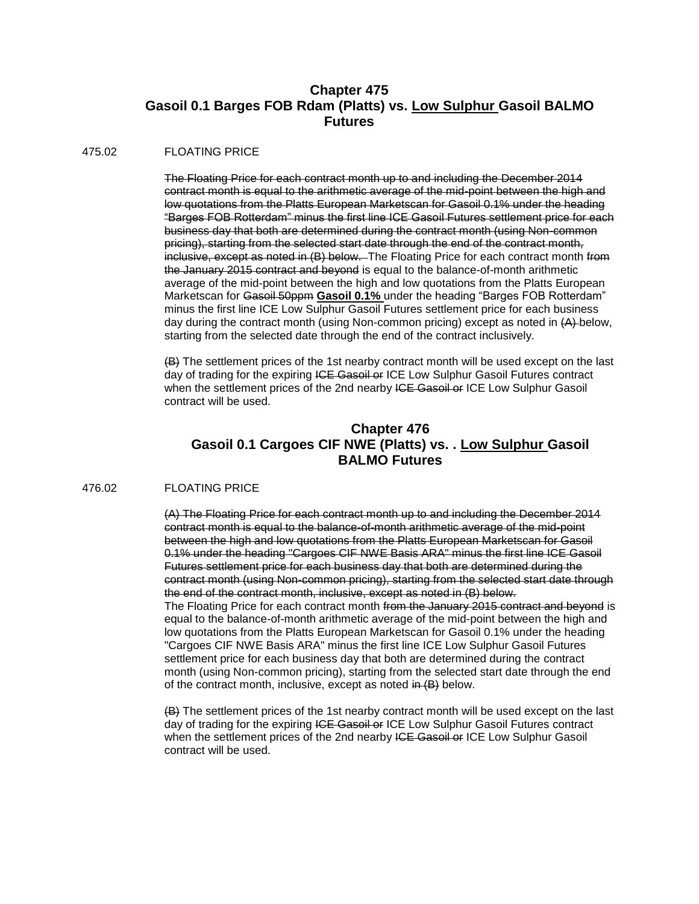## **Chapter 475 Gasoil 0.1 Barges FOB Rdam (Platts) vs. Low Sulphur Gasoil BALMO Futures**

### 475.02 FLOATING PRICE

The Floating Price for each contract month up to and including the December 2014 contract month is equal to the arithmetic average of the mid-point between the high and low quotations from the Platts European Marketscan for Gasoil 0.1% under the heading "Barges FOB Rotterdam" minus the first line ICE Gasoil Futures settlement price for each business day that both are determined during the contract month (using Non-common pricing), starting from the selected start date through the end of the contract month, inclusive, except as noted in (B) below. The Floating Price for each contract month from the January 2015 contract and beyond is equal to the balance-of-month arithmetic average of the mid-point between the high and low quotations from the Platts European Marketscan for Gasoil 50ppm **Gasoil 0.1%** under the heading "Barges FOB Rotterdam" minus the first line ICE Low Sulphur Gasoil Futures settlement price for each business day during the contract month (using Non-common pricing) except as noted in (A) below, starting from the selected date through the end of the contract inclusively.

(B) The settlement prices of the 1st nearby contract month will be used except on the last day of trading for the expiring ICE Gasoil or ICE Low Sulphur Gasoil Futures contract when the settlement prices of the 2nd nearby ICE Gasoil or ICE Low Sulphur Gasoil contract will be used.

## **Chapter 476 Gasoil 0.1 Cargoes CIF NWE (Platts) vs. . Low Sulphur Gasoil BALMO Futures**

#### 476.02 FLOATING PRICE

(A) The Floating Price for each contract month up to and including the December 2014 contract month is equal to the balance-of-month arithmetic average of the mid-point between the high and low quotations from the Platts European Marketscan for Gasoil 0.1% under the heading "Cargoes CIF NWE Basis ARA" minus the first line ICE Gasoil Futures settlement price for each business day that both are determined during the contract month (using Non-common pricing), starting from the selected start date through the end of the contract month, inclusive, except as noted in (B) below. The Floating Price for each contract month from the January 2015 contract and beyond is equal to the balance-of-month arithmetic average of the mid-point between the high and low quotations from the Platts European Marketscan for Gasoil 0.1% under the heading "Cargoes CIF NWE Basis ARA" minus the first line ICE Low Sulphur Gasoil Futures settlement price for each business day that both are determined during the contract month (using Non-common pricing), starting from the selected start date through the end of the contract month, inclusive, except as noted in (B) below.

(B) The settlement prices of the 1st nearby contract month will be used except on the last day of trading for the expiring ICE Gasoil or ICE Low Sulphur Gasoil Futures contract when the settlement prices of the 2nd nearby ICE Gasoil or ICE Low Sulphur Gasoil contract will be used.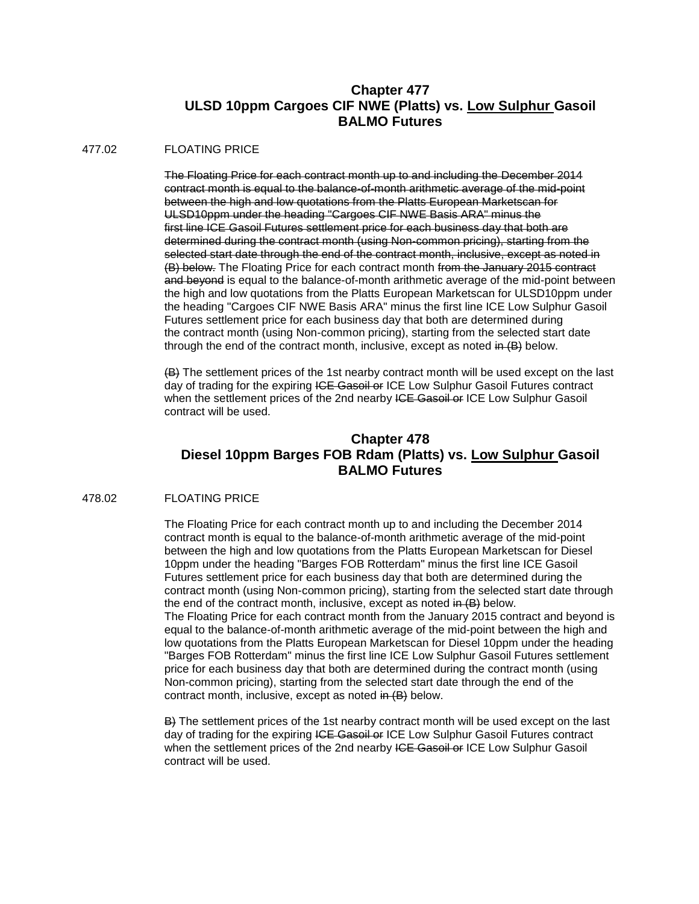## **Chapter 477 ULSD 10ppm Cargoes CIF NWE (Platts) vs. Low Sulphur Gasoil BALMO Futures**

#### 477.02 FLOATING PRICE

The Floating Price for each contract month up to and including the December 2014 contract month is equal to the balance-of-month arithmetic average of the mid-point between the high and low quotations from the Platts European Marketscan for ULSD10ppm under the heading "Cargoes CIF NWE Basis ARA" minus the first line ICE Gasoil Futures settlement price for each business day that both are determined during the contract month (using Non-common pricing), starting from the selected start date through the end of the contract month, inclusive, except as noted in (B) below. The Floating Price for each contract month from the January 2015 contract and beyond is equal to the balance-of-month arithmetic average of the mid-point between the high and low quotations from the Platts European Marketscan for ULSD10ppm under the heading "Cargoes CIF NWE Basis ARA" minus the first line ICE Low Sulphur Gasoil Futures settlement price for each business day that both are determined during the contract month (using Non-common pricing), starting from the selected start date through the end of the contract month, inclusive, except as noted  $\overline{m}$  (B) below.

(B) The settlement prices of the 1st nearby contract month will be used except on the last day of trading for the expiring ICE Gasoil or ICE Low Sulphur Gasoil Futures contract when the settlement prices of the 2nd nearby ICE Gasoil or ICE Low Sulphur Gasoil contract will be used.

## **Chapter 478 Diesel 10ppm Barges FOB Rdam (Platts) vs. Low Sulphur Gasoil BALMO Futures**

### 478.02 FLOATING PRICE

The Floating Price for each contract month up to and including the December 2014 contract month is equal to the balance-of-month arithmetic average of the mid-point between the high and low quotations from the Platts European Marketscan for Diesel 10ppm under the heading "Barges FOB Rotterdam" minus the first line ICE Gasoil Futures settlement price for each business day that both are determined during the contract month (using Non-common pricing), starting from the selected start date through the end of the contract month, inclusive, except as noted  $\overline{m}$  (B) below. The Floating Price for each contract month from the January 2015 contract and beyond is equal to the balance-of-month arithmetic average of the mid-point between the high and low quotations from the Platts European Marketscan for Diesel 10ppm under the heading "Barges FOB Rotterdam" minus the first line ICE Low Sulphur Gasoil Futures settlement price for each business day that both are determined during the contract month (using Non-common pricing), starting from the selected start date through the end of the contract month, inclusive, except as noted in (B) below.

B) The settlement prices of the 1st nearby contract month will be used except on the last day of trading for the expiring ICE Gasoil or ICE Low Sulphur Gasoil Futures contract when the settlement prices of the 2nd nearby ICE Gasoil or ICE Low Sulphur Gasoil contract will be used.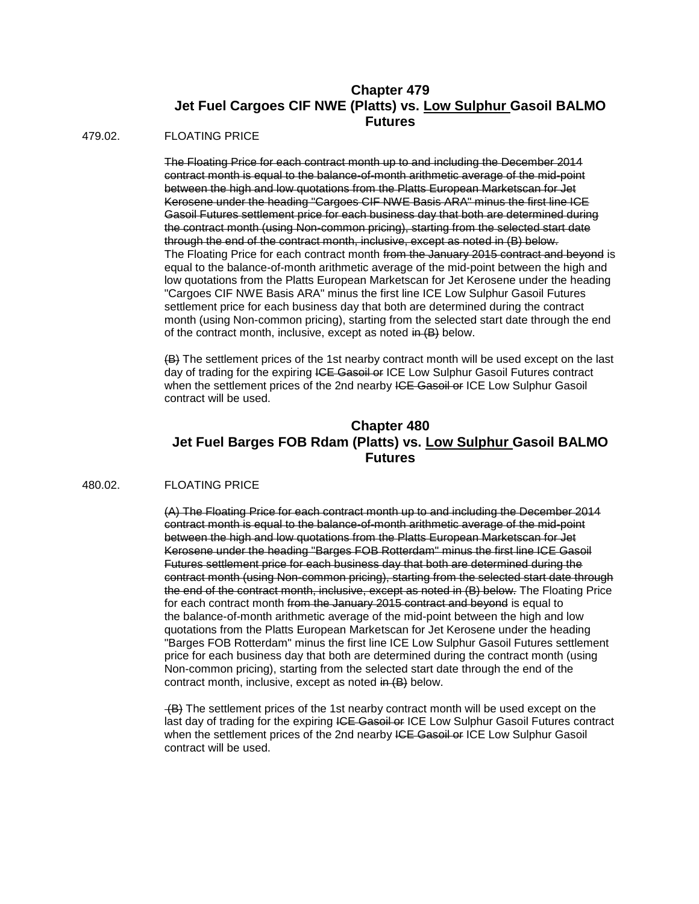## **Chapter 479 Jet Fuel Cargoes CIF NWE (Platts) vs. Low Sulphur Gasoil BALMO Futures**

479.02. FLOATING PRICE

The Floating Price for each contract month up to and including the December 2014 contract month is equal to the balance-of-month arithmetic average of the mid-point between the high and low quotations from the Platts European Marketscan for Jet Kerosene under the heading "Cargoes CIF NWE Basis ARA" minus the first line ICE Gasoil Futures settlement price for each business day that both are determined during the contract month (using Non-common pricing), starting from the selected start date through the end of the contract month, inclusive, except as noted in (B) below. The Floating Price for each contract month from the January 2015 contract and beyond is equal to the balance-of-month arithmetic average of the mid-point between the high and low quotations from the Platts European Marketscan for Jet Kerosene under the heading "Cargoes CIF NWE Basis ARA" minus the first line ICE Low Sulphur Gasoil Futures settlement price for each business day that both are determined during the contract month (using Non-common pricing), starting from the selected start date through the end of the contract month, inclusive, except as noted in (B) below.

(B) The settlement prices of the 1st nearby contract month will be used except on the last day of trading for the expiring ICE Gasoil or ICE Low Sulphur Gasoil Futures contract when the settlement prices of the 2nd nearby ICE Gasoil or ICE Low Sulphur Gasoil contract will be used.

## **Chapter 480 Jet Fuel Barges FOB Rdam (Platts) vs. Low Sulphur Gasoil BALMO Futures**

### 480.02. FLOATING PRICE

(A) The Floating Price for each contract month up to and including the December 2014 contract month is equal to the balance-of-month arithmetic average of the mid-point between the high and low quotations from the Platts European Marketscan for Jet Kerosene under the heading "Barges FOB Rotterdam" minus the first line ICE Gasoil Futures settlement price for each business day that both are determined during the contract month (using Non-common pricing), starting from the selected start date through the end of the contract month, inclusive, except as noted in (B) below. The Floating Price for each contract month from the January 2015 contract and beyond is equal to the balance-of-month arithmetic average of the mid-point between the high and low quotations from the Platts European Marketscan for Jet Kerosene under the heading "Barges FOB Rotterdam" minus the first line ICE Low Sulphur Gasoil Futures settlement price for each business day that both are determined during the contract month (using Non-common pricing), starting from the selected start date through the end of the contract month, inclusive, except as noted in (B) below.

(B) The settlement prices of the 1st nearby contract month will be used except on the last day of trading for the expiring ICE Gasoil or ICE Low Sulphur Gasoil Futures contract when the settlement prices of the 2nd nearby ICE Gasoil or ICE Low Sulphur Gasoil contract will be used.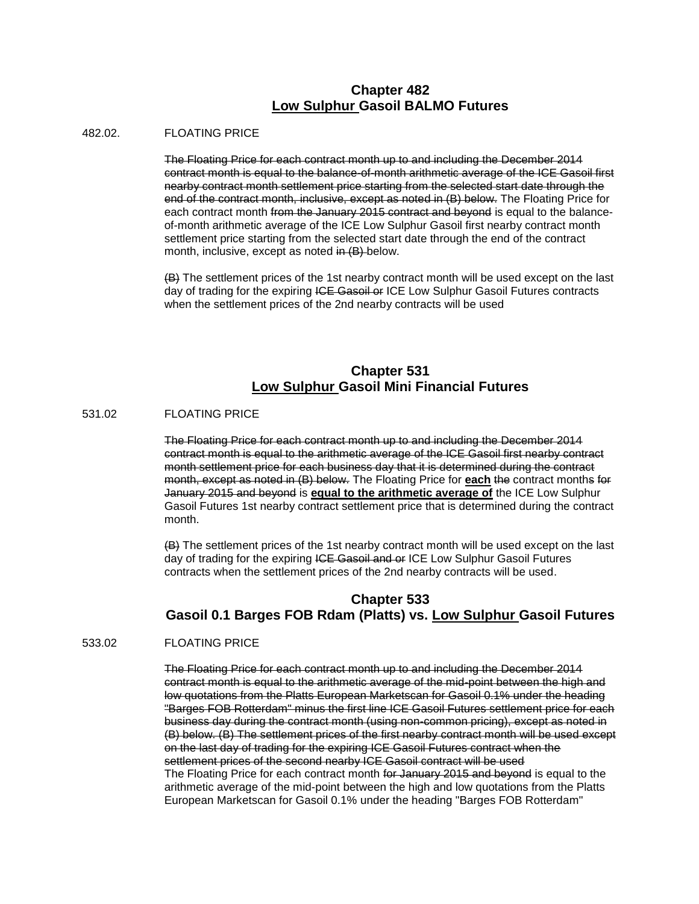### **Chapter 482 Low Sulphur Gasoil BALMO Futures**

#### 482.02. FLOATING PRICE

The Floating Price for each contract month up to and including the December 2014 contract month is equal to the balance-of-month arithmetic average of the ICE Gasoil first nearby contract month settlement price starting from the selected start date through the end of the contract month, inclusive, except as noted in (B) below. The Floating Price for each contract month from the January 2015 contract and beyond is equal to the balanceof-month arithmetic average of the ICE Low Sulphur Gasoil first nearby contract month settlement price starting from the selected start date through the end of the contract month, inclusive, except as noted in (B) below.

(B) The settlement prices of the 1st nearby contract month will be used except on the last day of trading for the expiring ICE Gasoil or ICE Low Sulphur Gasoil Futures contracts when the settlement prices of the 2nd nearby contracts will be used

## **Chapter 531 Low Sulphur Gasoil Mini Financial Futures**

### 531.02 FLOATING PRICE

The Floating Price for each contract month up to and including the December 2014 contract month is equal to the arithmetic average of the ICE Gasoil first nearby contract month settlement price for each business day that it is determined during the contract month, except as noted in (B) below. The Floating Price for **each** the contract months for January 2015 and beyond is **equal to the arithmetic average of** the ICE Low Sulphur Gasoil Futures 1st nearby contract settlement price that is determined during the contract month.

(B) The settlement prices of the 1st nearby contract month will be used except on the last day of trading for the expiring ICE Gasoil and or ICE Low Sulphur Gasoil Futures contracts when the settlement prices of the 2nd nearby contracts will be used.

## **Chapter 533 Gasoil 0.1 Barges FOB Rdam (Platts) vs. Low Sulphur Gasoil Futures**

#### 533.02 FLOATING PRICE

The Floating Price for each contract month up to and including the December 2014 contract month is equal to the arithmetic average of the mid-point between the high and low quotations from the Platts European Marketscan for Gasoil 0.1% under the heading "Barges FOB Rotterdam" minus the first line ICE Gasoil Futures settlement price for each business day during the contract month (using non-common pricing), except as noted in (B) below. (B) The settlement prices of the first nearby contract month will be used except on the last day of trading for the expiring ICE Gasoil Futures contract when the settlement prices of the second nearby ICE Gasoil contract will be used The Floating Price for each contract month for January 2015 and beyond is equal to the arithmetic average of the mid-point between the high and low quotations from the Platts European Marketscan for Gasoil 0.1% under the heading "Barges FOB Rotterdam"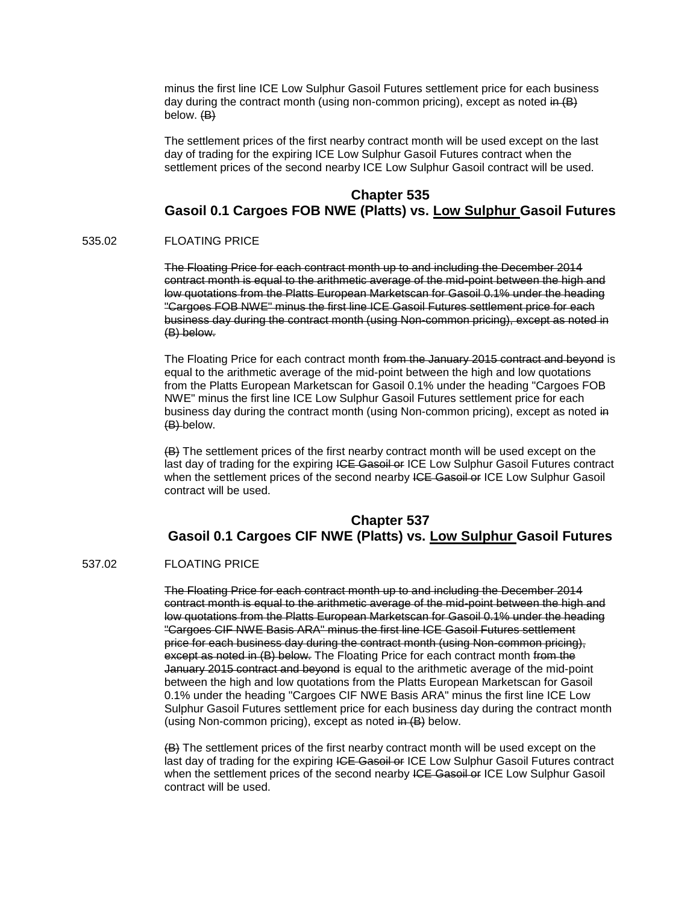minus the first line ICE Low Sulphur Gasoil Futures settlement price for each business day during the contract month (using non-common pricing), except as noted in  $(B)$ below. (B)

The settlement prices of the first nearby contract month will be used except on the last day of trading for the expiring ICE Low Sulphur Gasoil Futures contract when the settlement prices of the second nearby ICE Low Sulphur Gasoil contract will be used.

### **Chapter 535**

## **Gasoil 0.1 Cargoes FOB NWE (Platts) vs. Low Sulphur Gasoil Futures**

#### 535.02 FLOATING PRICE

The Floating Price for each contract month up to and including the December 2014 contract month is equal to the arithmetic average of the mid-point between the high and low quotations from the Platts European Marketscan for Gasoil 0.1% under the heading "Cargoes FOB NWE" minus the first line ICE Gasoil Futures settlement price for each business day during the contract month (using Non-common pricing), except as noted in (B) below.

The Floating Price for each contract month from the January 2015 contract and beyond is equal to the arithmetic average of the mid-point between the high and low quotations from the Platts European Marketscan for Gasoil 0.1% under the heading "Cargoes FOB NWE" minus the first line ICE Low Sulphur Gasoil Futures settlement price for each business day during the contract month (using Non-common pricing), except as noted in (B) below.

(B) The settlement prices of the first nearby contract month will be used except on the last day of trading for the expiring ICE Gasoil or ICE Low Sulphur Gasoil Futures contract when the settlement prices of the second nearby ICE Gasoil or ICE Low Sulphur Gasoil contract will be used.

## **Chapter 537 Gasoil 0.1 Cargoes CIF NWE (Platts) vs. Low Sulphur Gasoil Futures**

### 537.02 FLOATING PRICE

The Floating Price for each contract month up to and including the December 2014 contract month is equal to the arithmetic average of the mid-point between the high and low quotations from the Platts European Marketscan for Gasoil 0.1% under the heading "Cargoes CIF NWE Basis ARA" minus the first line ICE Gasoil Futures settlement price for each business day during the contract month (using Non-common pricing), except as noted in (B) below. The Floating Price for each contract month from the January 2015 contract and beyond is equal to the arithmetic average of the mid-point between the high and low quotations from the Platts European Marketscan for Gasoil 0.1% under the heading "Cargoes CIF NWE Basis ARA" minus the first line ICE Low Sulphur Gasoil Futures settlement price for each business day during the contract month (using Non-common pricing), except as noted in (B) below.

(B) The settlement prices of the first nearby contract month will be used except on the last day of trading for the expiring ICE Gasoil or ICE Low Sulphur Gasoil Futures contract when the settlement prices of the second nearby ICE Gasoil or ICE Low Sulphur Gasoil contract will be used.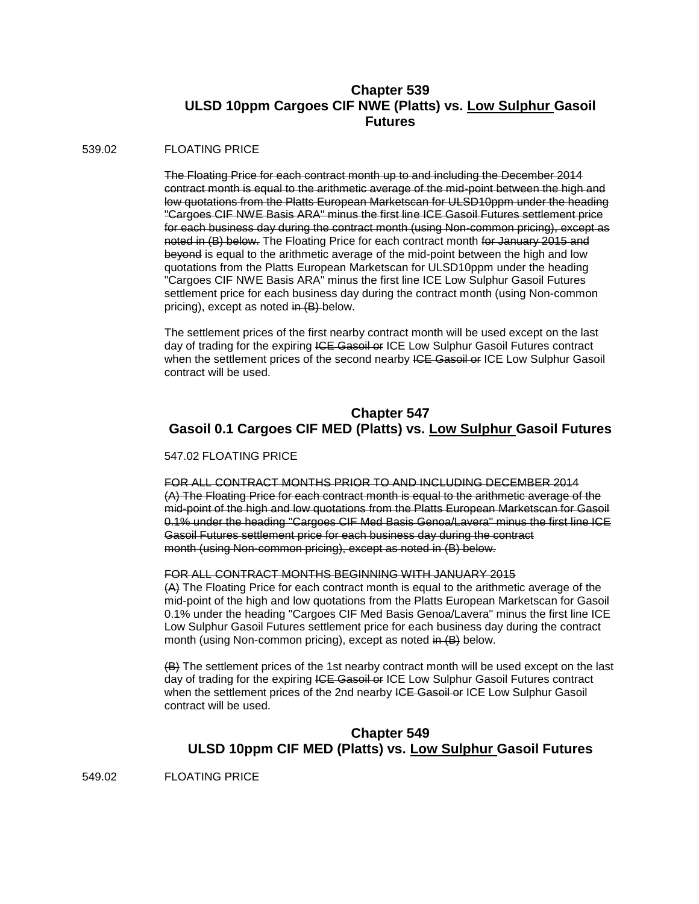## **Chapter 539 ULSD 10ppm Cargoes CIF NWE (Platts) vs. Low Sulphur Gasoil Futures**

#### 539.02 FLOATING PRICE

The Floating Price for each contract month up to and including the December 2014 contract month is equal to the arithmetic average of the mid-point between the high and low quotations from the Platts European Marketscan for ULSD10ppm under the heading "Cargoes CIF NWE Basis ARA" minus the first line ICE Gasoil Futures settlement price for each business day during the contract month (using Non-common pricing), except as noted in (B) below. The Floating Price for each contract month for January 2015 and beyond is equal to the arithmetic average of the mid-point between the high and low quotations from the Platts European Marketscan for ULSD10ppm under the heading "Cargoes CIF NWE Basis ARA" minus the first line ICE Low Sulphur Gasoil Futures settlement price for each business day during the contract month (using Non-common pricing), except as noted in (B) below.

The settlement prices of the first nearby contract month will be used except on the last day of trading for the expiring ICE Gasoil or ICE Low Sulphur Gasoil Futures contract when the settlement prices of the second nearby ICE Gasoil or ICE Low Sulphur Gasoil contract will be used.

## **Chapter 547 Gasoil 0.1 Cargoes CIF MED (Platts) vs. Low Sulphur Gasoil Futures**

#### 547.02 FLOATING PRICE

FOR ALL CONTRACT MONTHS PRIOR TO AND INCLUDING DECEMBER 2014 (A) The Floating Price for each contract month is equal to the arithmetic average of the mid-point of the high and low quotations from the Platts European Marketscan for Gasoil 0.1% under the heading "Cargoes CIF Med Basis Genoa/Lavera" minus the first line ICE Gasoil Futures settlement price for each business day during the contract month (using Non-common pricing), except as noted in (B) below.

#### FOR ALL CONTRACT MONTHS BEGINNING WITH JANUARY 2015

(A) The Floating Price for each contract month is equal to the arithmetic average of the mid-point of the high and low quotations from the Platts European Marketscan for Gasoil 0.1% under the heading "Cargoes CIF Med Basis Genoa/Lavera" minus the first line ICE Low Sulphur Gasoil Futures settlement price for each business day during the contract month (using Non-common pricing), except as noted in (B) below.

(B) The settlement prices of the 1st nearby contract month will be used except on the last day of trading for the expiring ICE Gasoil or ICE Low Sulphur Gasoil Futures contract when the settlement prices of the 2nd nearby ICE Gasoil or ICE Low Sulphur Gasoil contract will be used.

## **Chapter 549 ULSD 10ppm CIF MED (Platts) vs. Low Sulphur Gasoil Futures**

549.02 FLOATING PRICE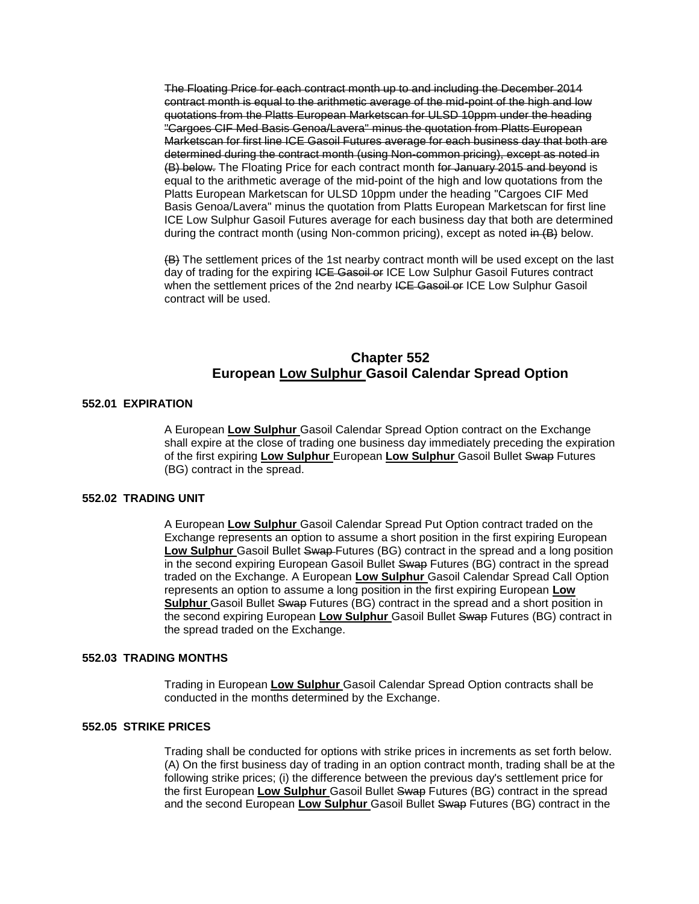The Floating Price for each contract month up to and including the December 2014 contract month is equal to the arithmetic average of the mid-point of the high and low quotations from the Platts European Marketscan for ULSD 10ppm under the heading "Cargoes CIF Med Basis Genoa/Lavera" minus the quotation from Platts European Marketscan for first line ICE Gasoil Futures average for each business day that both are determined during the contract month (using Non-common pricing), except as noted in (B) below. The Floating Price for each contract month for January 2015 and beyond is equal to the arithmetic average of the mid-point of the high and low quotations from the Platts European Marketscan for ULSD 10ppm under the heading "Cargoes CIF Med Basis Genoa/Lavera" minus the quotation from Platts European Marketscan for first line ICE Low Sulphur Gasoil Futures average for each business day that both are determined during the contract month (using Non-common pricing), except as noted  $\overline{m}$  (B) below.

(B) The settlement prices of the 1st nearby contract month will be used except on the last day of trading for the expiring ICE Gasoil or ICE Low Sulphur Gasoil Futures contract when the settlement prices of the 2nd nearby ICE Gasoil or ICE Low Sulphur Gasoil contract will be used.

### **Chapter 552 European Low Sulphur Gasoil Calendar Spread Option**

#### **552.01 EXPIRATION**

A European **Low Sulphur** Gasoil Calendar Spread Option contract on the Exchange shall expire at the close of trading one business day immediately preceding the expiration of the first expiring **Low Sulphur** European **Low Sulphur** Gasoil Bullet Swap Futures (BG) contract in the spread.

#### **552.02 TRADING UNIT**

A European **Low Sulphur** Gasoil Calendar Spread Put Option contract traded on the Exchange represents an option to assume a short position in the first expiring European **Low Sulphur** Gasoil Bullet Swap Futures (BG) contract in the spread and a long position in the second expiring European Gasoil Bullet Swap Futures (BG) contract in the spread traded on the Exchange. A European **Low Sulphur** Gasoil Calendar Spread Call Option represents an option to assume a long position in the first expiring European **Low Sulphur** Gasoil Bullet Swap Futures (BG) contract in the spread and a short position in the second expiring European **Low Sulphur** Gasoil Bullet Swap Futures (BG) contract in the spread traded on the Exchange.

### **552.03 TRADING MONTHS**

Trading in European **Low Sulphur** Gasoil Calendar Spread Option contracts shall be conducted in the months determined by the Exchange.

#### **552.05 STRIKE PRICES**

Trading shall be conducted for options with strike prices in increments as set forth below. (A) On the first business day of trading in an option contract month, trading shall be at the following strike prices; (i) the difference between the previous day's settlement price for the first European **Low Sulphur** Gasoil Bullet Swap Futures (BG) contract in the spread and the second European **Low Sulphur** Gasoil Bullet Swap Futures (BG) contract in the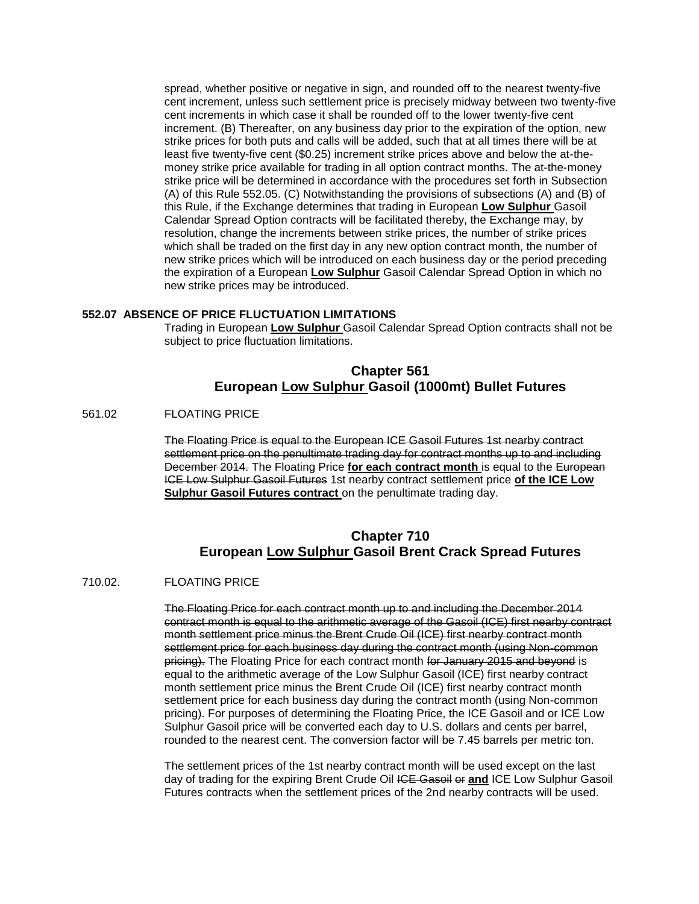spread, whether positive or negative in sign, and rounded off to the nearest twenty-five cent increment, unless such settlement price is precisely midway between two twenty-five cent increments in which case it shall be rounded off to the lower twenty-five cent increment. (B) Thereafter, on any business day prior to the expiration of the option, new strike prices for both puts and calls will be added, such that at all times there will be at least five twenty-five cent (\$0.25) increment strike prices above and below the at-themoney strike price available for trading in all option contract months. The at-the-money strike price will be determined in accordance with the procedures set forth in Subsection (A) of this Rule 552.05. (C) Notwithstanding the provisions of subsections (A) and (B) of this Rule, if the Exchange determines that trading in European **Low Sulphur** Gasoil Calendar Spread Option contracts will be facilitated thereby, the Exchange may, by resolution, change the increments between strike prices, the number of strike prices which shall be traded on the first day in any new option contract month, the number of new strike prices which will be introduced on each business day or the period preceding the expiration of a European **Low Sulphur** Gasoil Calendar Spread Option in which no new strike prices may be introduced.

### **552.07 ABSENCE OF PRICE FLUCTUATION LIMITATIONS**

Trading in European **Low Sulphur** Gasoil Calendar Spread Option contracts shall not be subject to price fluctuation limitations.

## **Chapter 561 European Low Sulphur Gasoil (1000mt) Bullet Futures**

### 561.02 FLOATING PRICE

The Floating Price is equal to the European ICE Gasoil Futures 1st nearby contract settlement price on the penultimate trading day for contract months up to and including December 2014. The Floating Price **for each contract month** is equal to the European ICE Low Sulphur Gasoil Futures 1st nearby contract settlement price **of the ICE Low Sulphur Gasoil Futures contract** on the penultimate trading day.

## **Chapter 710 European Low Sulphur Gasoil Brent Crack Spread Futures**

#### 710.02. FLOATING PRICE

The Floating Price for each contract month up to and including the December 2014 contract month is equal to the arithmetic average of the Gasoil (ICE) first nearby contract month settlement price minus the Brent Crude Oil (ICE) first nearby contract month settlement price for each business day during the contract month (using Non-common pricing). The Floating Price for each contract month for January 2015 and beyond is equal to the arithmetic average of the Low Sulphur Gasoil (ICE) first nearby contract month settlement price minus the Brent Crude Oil (ICE) first nearby contract month settlement price for each business day during the contract month (using Non-common pricing). For purposes of determining the Floating Price, the ICE Gasoil and or ICE Low Sulphur Gasoil price will be converted each day to U.S. dollars and cents per barrel, rounded to the nearest cent. The conversion factor will be 7.45 barrels per metric ton.

The settlement prices of the 1st nearby contract month will be used except on the last day of trading for the expiring Brent Crude Oil ICE Gasoil or **and** ICE Low Sulphur Gasoil Futures contracts when the settlement prices of the 2nd nearby contracts will be used.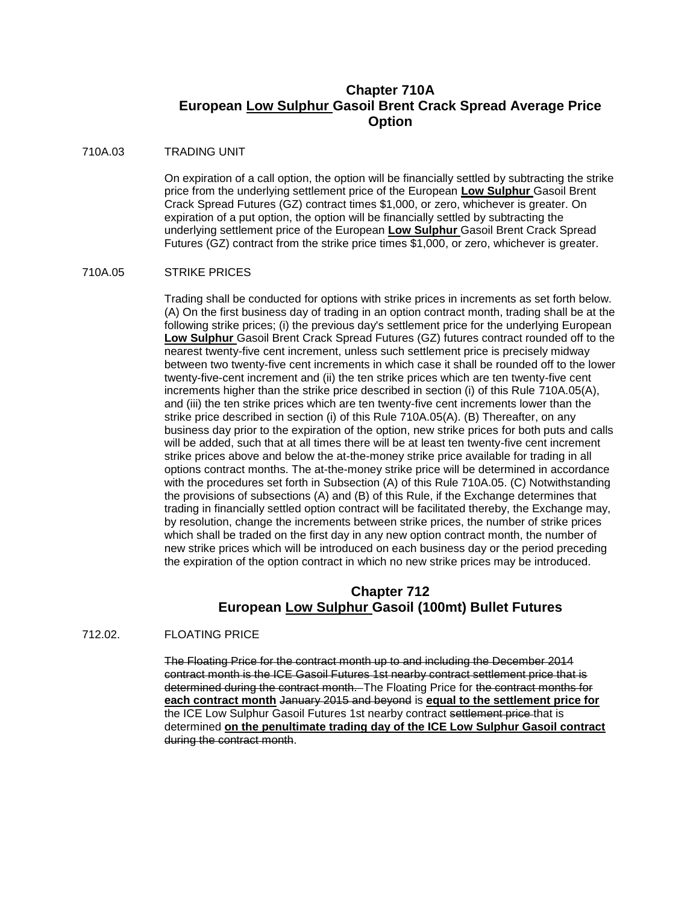## **Chapter 710A European Low Sulphur Gasoil Brent Crack Spread Average Price Option**

### 710A.03 TRADING UNIT

On expiration of a call option, the option will be financially settled by subtracting the strike price from the underlying settlement price of the European **Low Sulphur** Gasoil Brent Crack Spread Futures (GZ) contract times \$1,000, or zero, whichever is greater. On expiration of a put option, the option will be financially settled by subtracting the underlying settlement price of the European **Low Sulphur** Gasoil Brent Crack Spread Futures (GZ) contract from the strike price times \$1,000, or zero, whichever is greater.

#### 710A.05 STRIKE PRICES

Trading shall be conducted for options with strike prices in increments as set forth below. (A) On the first business day of trading in an option contract month, trading shall be at the following strike prices; (i) the previous day's settlement price for the underlying European **Low Sulphur** Gasoil Brent Crack Spread Futures (GZ) futures contract rounded off to the nearest twenty-five cent increment, unless such settlement price is precisely midway between two twenty-five cent increments in which case it shall be rounded off to the lower twenty-five-cent increment and (ii) the ten strike prices which are ten twenty-five cent increments higher than the strike price described in section (i) of this Rule 710A.05(A), and (iii) the ten strike prices which are ten twenty-five cent increments lower than the strike price described in section (i) of this Rule 710A.05(A). (B) Thereafter, on any business day prior to the expiration of the option, new strike prices for both puts and calls will be added, such that at all times there will be at least ten twenty-five cent increment strike prices above and below the at-the-money strike price available for trading in all options contract months. The at-the-money strike price will be determined in accordance with the procedures set forth in Subsection (A) of this Rule 710A.05. (C) Notwithstanding the provisions of subsections (A) and (B) of this Rule, if the Exchange determines that trading in financially settled option contract will be facilitated thereby, the Exchange may, by resolution, change the increments between strike prices, the number of strike prices which shall be traded on the first day in any new option contract month, the number of new strike prices which will be introduced on each business day or the period preceding the expiration of the option contract in which no new strike prices may be introduced.

## **Chapter 712 European Low Sulphur Gasoil (100mt) Bullet Futures**

### 712.02. FLOATING PRICE

The Floating Price for the contract month up to and including the December 2014 contract month is the ICE Gasoil Futures 1st nearby contract settlement price that is determined during the contract month. The Floating Price for the contract months for **each contract month** January 2015 and beyond is **equal to the settlement price for** the ICE Low Sulphur Gasoil Futures 1st nearby contract settlement price that is determined **on the penultimate trading day of the ICE Low Sulphur Gasoil contract** during the contract month.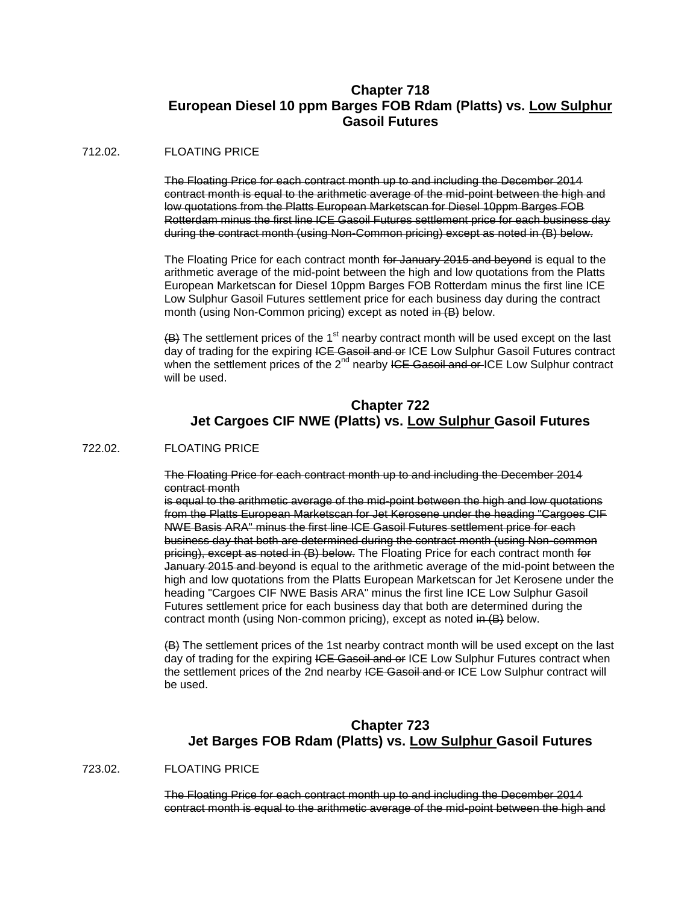## **Chapter 718 European Diesel 10 ppm Barges FOB Rdam (Platts) vs. Low Sulphur Gasoil Futures**

### 712.02. FLOATING PRICE

The Floating Price for each contract month up to and including the December 2014 contract month is equal to the arithmetic average of the mid-point between the high and low quotations from the Platts European Marketscan for Diesel 10ppm Barges FOB Rotterdam minus the first line ICE Gasoil Futures settlement price for each business day during the contract month (using Non-Common pricing) except as noted in (B) below.

The Floating Price for each contract month for January 2015 and beyond is equal to the arithmetic average of the mid-point between the high and low quotations from the Platts European Marketscan for Diesel 10ppm Barges FOB Rotterdam minus the first line ICE Low Sulphur Gasoil Futures settlement price for each business day during the contract month (using Non-Common pricing) except as noted in (B) below.

 $(B)$  The settlement prices of the 1<sup>st</sup> nearby contract month will be used except on the last day of trading for the expiring ICE Gasoil and or ICE Low Sulphur Gasoil Futures contract when the settlement prices of the  $2<sup>nd</sup>$  nearby ICE Gasoil and or ICE Low Sulphur contract will be used.

## **Chapter 722 Jet Cargoes CIF NWE (Platts) vs. Low Sulphur Gasoil Futures**

722.02. FLOATING PRICE

The Floating Price for each contract month up to and including the December 2014 contract month

is equal to the arithmetic average of the mid-point between the high and low quotations from the Platts European Marketscan for Jet Kerosene under the heading "Cargoes CIF NWE Basis ARA" minus the first line ICE Gasoil Futures settlement price for each business day that both are determined during the contract month (using Non-common pricing), except as noted in (B) below. The Floating Price for each contract month for January 2015 and beyond is equal to the arithmetic average of the mid-point between the high and low quotations from the Platts European Marketscan for Jet Kerosene under the heading "Cargoes CIF NWE Basis ARA" minus the first line ICE Low Sulphur Gasoil Futures settlement price for each business day that both are determined during the contract month (using Non-common pricing), except as noted in (B) below.

(B) The settlement prices of the 1st nearby contract month will be used except on the last day of trading for the expiring ICE Gasoil and or ICE Low Sulphur Futures contract when the settlement prices of the 2nd nearby ICE Gaseil and or ICE Low Sulphur contract will be used.

## **Chapter 723 Jet Barges FOB Rdam (Platts) vs. Low Sulphur Gasoil Futures**

723.02. FLOATING PRICE

The Floating Price for each contract month up to and including the December 2014 contract month is equal to the arithmetic average of the mid-point between the high and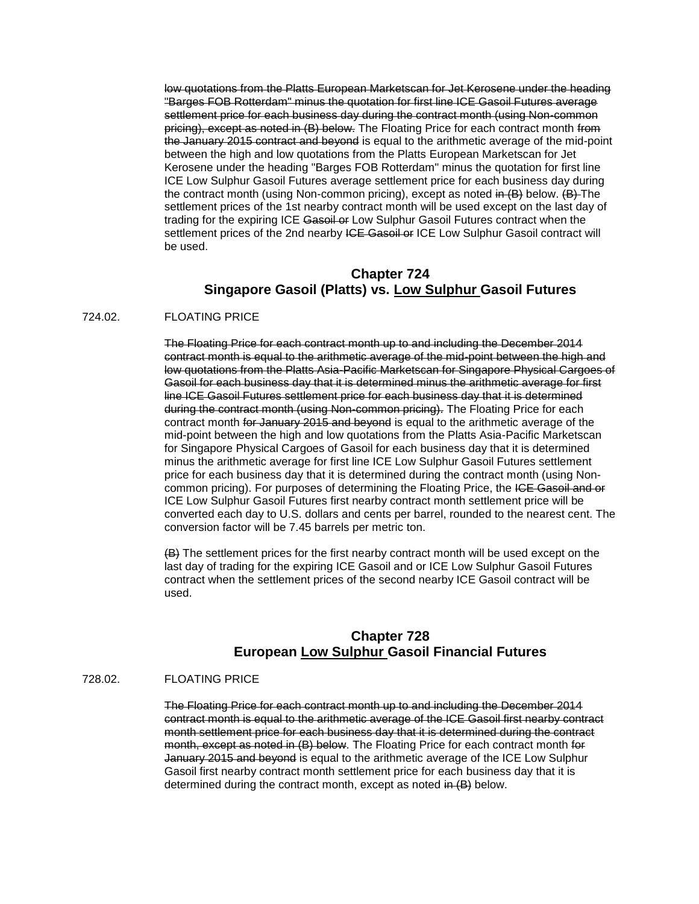low quotations from the Platts European Marketscan for Jet Kerosene under the heading "Barges FOB Rotterdam" minus the quotation for first line ICE Gasoil Futures average settlement price for each business day during the contract month (using Non-common pricing), except as noted in (B) below. The Floating Price for each contract month from the January 2015 contract and beyond is equal to the arithmetic average of the mid-point between the high and low quotations from the Platts European Marketscan for Jet Kerosene under the heading "Barges FOB Rotterdam" minus the quotation for first line ICE Low Sulphur Gasoil Futures average settlement price for each business day during the contract month (using Non-common pricing), except as noted in (B) below. (B) The settlement prices of the 1st nearby contract month will be used except on the last day of trading for the expiring ICE Gasoil or Low Sulphur Gasoil Futures contract when the settlement prices of the 2nd nearby ICE Gasoil or ICE Low Sulphur Gasoil contract will be used.

## **Chapter 724 Singapore Gasoil (Platts) vs. Low Sulphur Gasoil Futures**

#### 724.02. FLOATING PRICE

The Floating Price for each contract month up to and including the December 2014 contract month is equal to the arithmetic average of the mid-point between the high and low quotations from the Platts Asia-Pacific Marketscan for Singapore Physical Cargoes of Gasoil for each business day that it is determined minus the arithmetic average for first line ICE Gasoil Futures settlement price for each business day that it is determined during the contract month (using Non-common pricing). The Floating Price for each contract month for January 2015 and beyond is equal to the arithmetic average of the mid-point between the high and low quotations from the Platts Asia-Pacific Marketscan for Singapore Physical Cargoes of Gasoil for each business day that it is determined minus the arithmetic average for first line ICE Low Sulphur Gasoil Futures settlement price for each business day that it is determined during the contract month (using Noncommon pricing). For purposes of determining the Floating Price, the ICE Gasoil and or ICE Low Sulphur Gasoil Futures first nearby contract month settlement price will be converted each day to U.S. dollars and cents per barrel, rounded to the nearest cent. The conversion factor will be 7.45 barrels per metric ton.

(B) The settlement prices for the first nearby contract month will be used except on the last day of trading for the expiring ICE Gasoil and or ICE Low Sulphur Gasoil Futures contract when the settlement prices of the second nearby ICE Gasoil contract will be used.

## **Chapter 728 European Low Sulphur Gasoil Financial Futures**

### 728.02. FLOATING PRICE

The Floating Price for each contract month up to and including the December 2014 contract month is equal to the arithmetic average of the ICE Gasoil first nearby contract month settlement price for each business day that it is determined during the contract month, except as noted in (B) below. The Floating Price for each contract month for January 2015 and beyond is equal to the arithmetic average of the ICE Low Sulphur Gasoil first nearby contract month settlement price for each business day that it is determined during the contract month, except as noted in (B) below.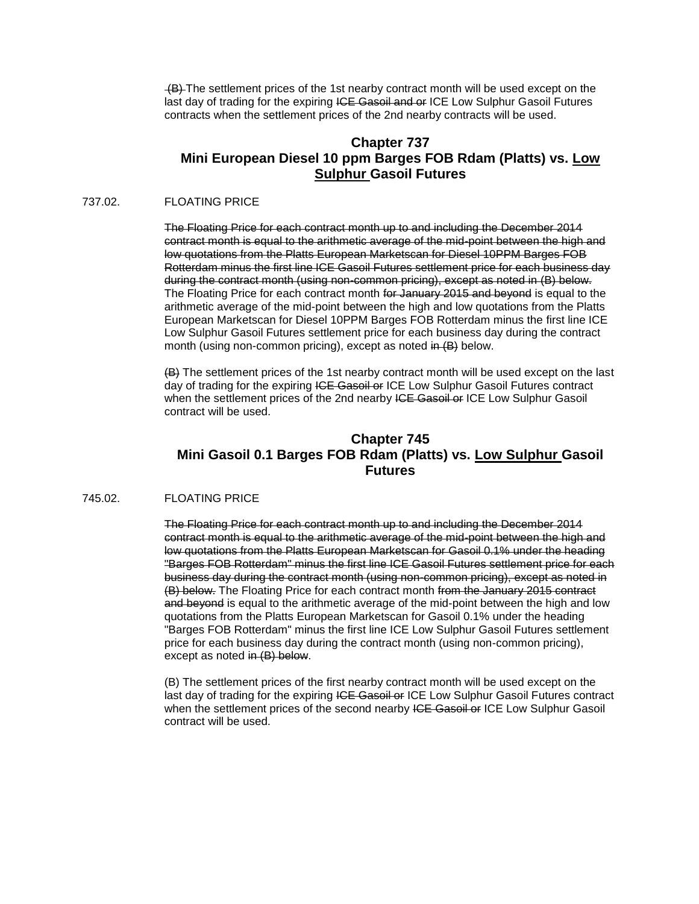(B) The settlement prices of the 1st nearby contract month will be used except on the last day of trading for the expiring ICE Gasoil and or ICE Low Sulphur Gasoil Futures contracts when the settlement prices of the 2nd nearby contracts will be used.

## **Chapter 737 Mini European Diesel 10 ppm Barges FOB Rdam (Platts) vs. Low Sulphur Gasoil Futures**

### 737.02. FLOATING PRICE

The Floating Price for each contract month up to and including the December 2014 contract month is equal to the arithmetic average of the mid-point between the high and low quotations from the Platts European Marketscan for Diesel 10PPM Barges FOB Rotterdam minus the first line ICE Gasoil Futures settlement price for each business day during the contract month (using non-common pricing), except as noted in (B) below. The Floating Price for each contract month for January 2015 and beyond is equal to the arithmetic average of the mid-point between the high and low quotations from the Platts European Marketscan for Diesel 10PPM Barges FOB Rotterdam minus the first line ICE Low Sulphur Gasoil Futures settlement price for each business day during the contract month (using non-common pricing), except as noted in (B) below.

(B) The settlement prices of the 1st nearby contract month will be used except on the last day of trading for the expiring ICE Gasoil or ICE Low Sulphur Gasoil Futures contract when the settlement prices of the 2nd nearby ICE Gasoil or ICE Low Sulphur Gasoil contract will be used.

## **Chapter 745 Mini Gasoil 0.1 Barges FOB Rdam (Platts) vs. Low Sulphur Gasoil Futures**

#### 745.02. FLOATING PRICE

The Floating Price for each contract month up to and including the December 2014 contract month is equal to the arithmetic average of the mid-point between the high and low quotations from the Platts European Marketscan for Gasoil 0.1% under the heading "Barges FOB Rotterdam" minus the first line ICE Gasoil Futures settlement price for each business day during the contract month (using non-common pricing), except as noted in (B) below. The Floating Price for each contract month from the January 2015 contract and beyond is equal to the arithmetic average of the mid-point between the high and low quotations from the Platts European Marketscan for Gasoil 0.1% under the heading "Barges FOB Rotterdam" minus the first line ICE Low Sulphur Gasoil Futures settlement price for each business day during the contract month (using non-common pricing), except as noted in (B) below.

(B) The settlement prices of the first nearby contract month will be used except on the last day of trading for the expiring ICE Gasoil or ICE Low Sulphur Gasoil Futures contract when the settlement prices of the second nearby ICE Gasoil or ICE Low Sulphur Gasoil contract will be used.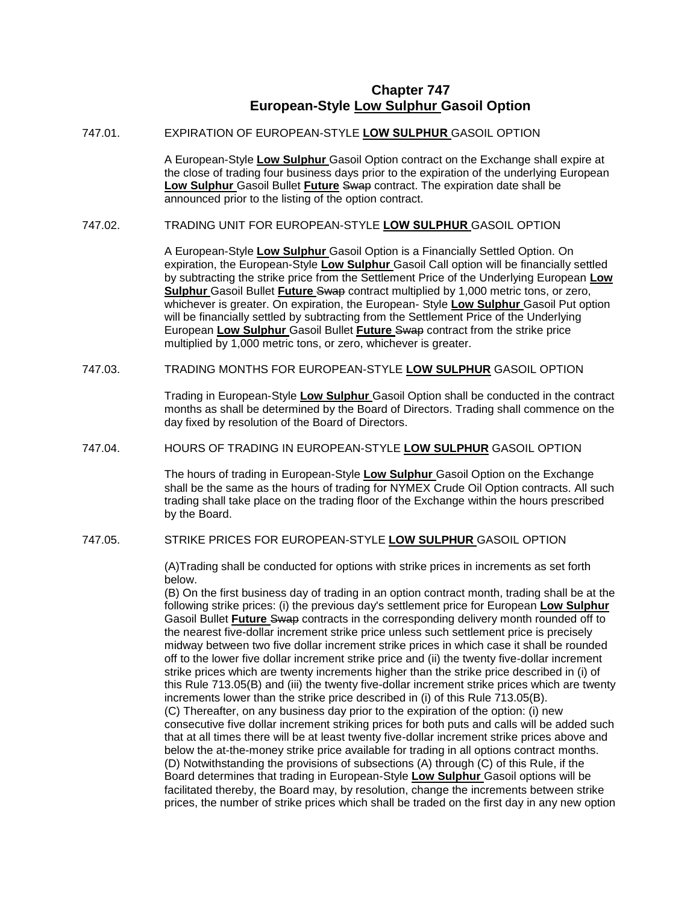### **Chapter 747 European-Style Low Sulphur Gasoil Option**

### 747.01. EXPIRATION OF EUROPEAN-STYLE **LOW SULPHUR** GASOIL OPTION

A European-Style **Low Sulphur** Gasoil Option contract on the Exchange shall expire at the close of trading four business days prior to the expiration of the underlying European **Low Sulphur** Gasoil Bullet **Future** Swap contract. The expiration date shall be announced prior to the listing of the option contract.

### 747.02. TRADING UNIT FOR EUROPEAN-STYLE **LOW SULPHUR** GASOIL OPTION

A European-Style **Low Sulphur** Gasoil Option is a Financially Settled Option. On expiration, the European-Style **Low Sulphur** Gasoil Call option will be financially settled by subtracting the strike price from the Settlement Price of the Underlying European **Low Sulphur** Gasoil Bullet **Future** Swap contract multiplied by 1,000 metric tons, or zero, whichever is greater. On expiration, the European- Style **Low Sulphur** Gasoil Put option will be financially settled by subtracting from the Settlement Price of the Underlying European **Low Sulphur** Gasoil Bullet **Future** Swap contract from the strike price multiplied by 1,000 metric tons, or zero, whichever is greater.

#### 747.03. TRADING MONTHS FOR EUROPEAN-STYLE **LOW SULPHUR** GASOIL OPTION

Trading in European-Style **Low Sulphur** Gasoil Option shall be conducted in the contract months as shall be determined by the Board of Directors. Trading shall commence on the day fixed by resolution of the Board of Directors.

### 747.04. HOURS OF TRADING IN EUROPEAN-STYLE **LOW SULPHUR** GASOIL OPTION

The hours of trading in European-Style **Low Sulphur** Gasoil Option on the Exchange shall be the same as the hours of trading for NYMEX Crude Oil Option contracts. All such trading shall take place on the trading floor of the Exchange within the hours prescribed by the Board.

#### 747.05. STRIKE PRICES FOR EUROPEAN-STYLE **LOW SULPHUR** GASOIL OPTION

(A)Trading shall be conducted for options with strike prices in increments as set forth below.

(B) On the first business day of trading in an option contract month, trading shall be at the following strike prices: (i) the previous day's settlement price for European **Low Sulphur**  Gasoil Bullet **Future** Swap contracts in the corresponding delivery month rounded off to the nearest five-dollar increment strike price unless such settlement price is precisely midway between two five dollar increment strike prices in which case it shall be rounded off to the lower five dollar increment strike price and (ii) the twenty five-dollar increment strike prices which are twenty increments higher than the strike price described in (i) of this Rule 713.05(B) and (iii) the twenty five-dollar increment strike prices which are twenty increments lower than the strike price described in (i) of this Rule 713.05(B). (C) Thereafter, on any business day prior to the expiration of the option: (i) new consecutive five dollar increment striking prices for both puts and calls will be added such that at all times there will be at least twenty five-dollar increment strike prices above and below the at-the-money strike price available for trading in all options contract months. (D) Notwithstanding the provisions of subsections (A) through (C) of this Rule, if the Board determines that trading in European-Style **Low Sulphur** Gasoil options will be facilitated thereby, the Board may, by resolution, change the increments between strike prices, the number of strike prices which shall be traded on the first day in any new option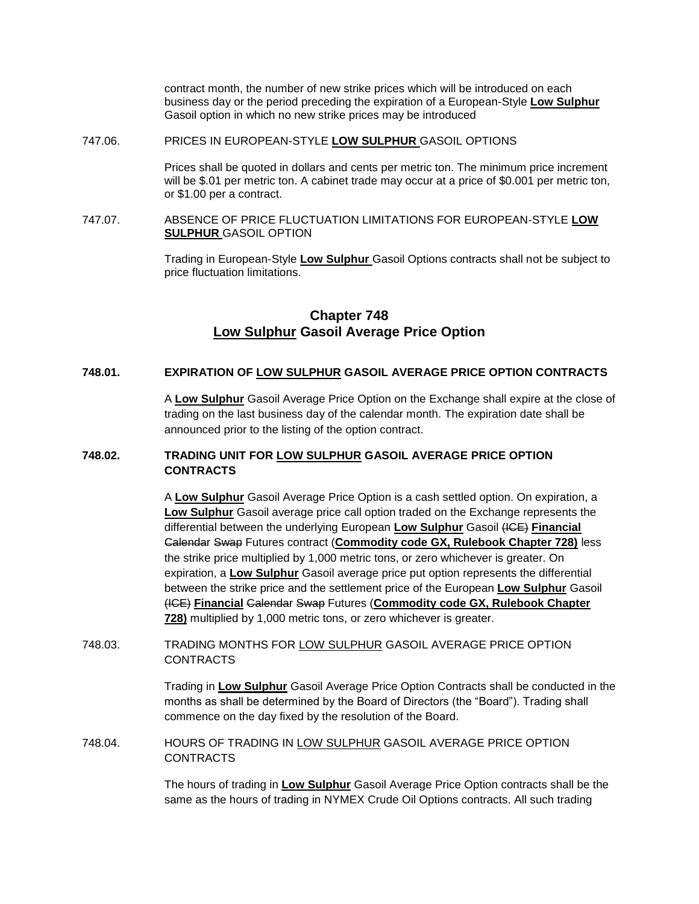contract month, the number of new strike prices which will be introduced on each business day or the period preceding the expiration of a European-Style **Low Sulphur**  Gasoil option in which no new strike prices may be introduced

### 747.06. PRICES IN EUROPEAN-STYLE **LOW SULPHUR** GASOIL OPTIONS

Prices shall be quoted in dollars and cents per metric ton. The minimum price increment will be \$.01 per metric ton. A cabinet trade may occur at a price of \$0.001 per metric ton, or \$1.00 per a contract.

### 747.07. ABSENCE OF PRICE FLUCTUATION LIMITATIONS FOR EUROPEAN-STYLE **LOW SULPHUR** GASOIL OPTION

Trading in European-Style **Low Sulphur** Gasoil Options contracts shall not be subject to price fluctuation limitations.

## **Chapter 748 Low Sulphur Gasoil Average Price Option**

### **748.01. EXPIRATION OF LOW SULPHUR GASOIL AVERAGE PRICE OPTION CONTRACTS**

A **Low Sulphur** Gasoil Average Price Option on the Exchange shall expire at the close of trading on the last business day of the calendar month. The expiration date shall be announced prior to the listing of the option contract.

### **748.02. TRADING UNIT FOR LOW SULPHUR GASOIL AVERAGE PRICE OPTION CONTRACTS**

A **Low Sulphur** Gasoil Average Price Option is a cash settled option. On expiration, a **Low Sulphur** Gasoil average price call option traded on the Exchange represents the differential between the underlying European **Low Sulphur** Gasoil (ICE) **Financial** Calendar Swap Futures contract (**Commodity code GX, Rulebook Chapter 728)** less the strike price multiplied by 1,000 metric tons, or zero whichever is greater. On expiration, a **Low Sulphur** Gasoil average price put option represents the differential between the strike price and the settlement price of the European **Low Sulphur** Gasoil (ICE) **Financial** Calendar Swap Futures (**Commodity code GX, Rulebook Chapter 728)** multiplied by 1,000 metric tons, or zero whichever is greater.

748.03. TRADING MONTHS FOR LOW SULPHUR GASOIL AVERAGE PRICE OPTION CONTRACTS

> Trading in **Low Sulphur** Gasoil Average Price Option Contracts shall be conducted in the months as shall be determined by the Board of Directors (the "Board"). Trading shall commence on the day fixed by the resolution of the Board.

748.04. HOURS OF TRADING IN LOW SULPHUR GASOIL AVERAGE PRICE OPTION CONTRACTS

> The hours of trading in **Low Sulphur** Gasoil Average Price Option contracts shall be the same as the hours of trading in NYMEX Crude Oil Options contracts. All such trading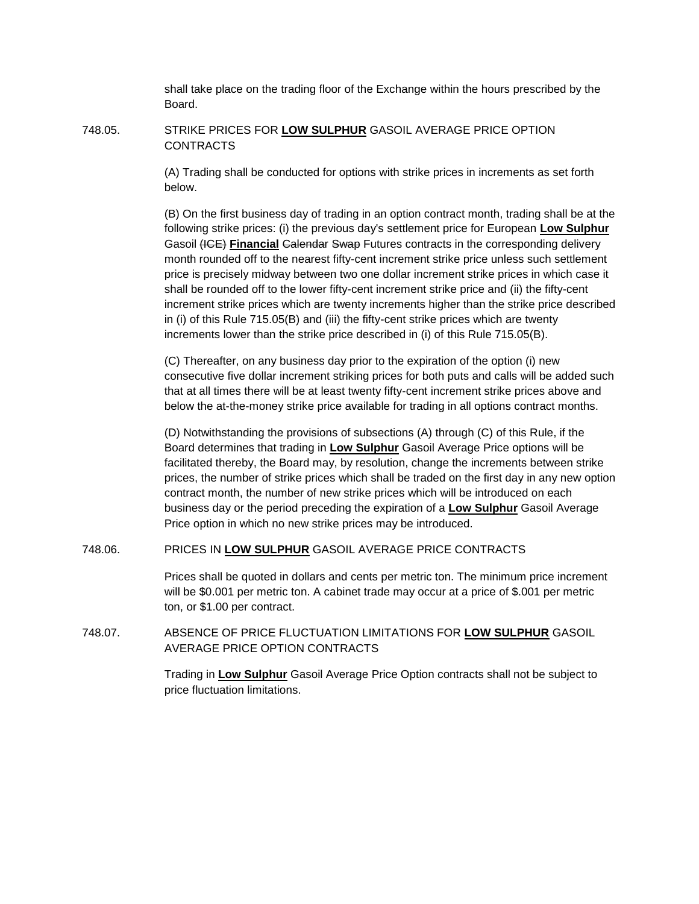shall take place on the trading floor of the Exchange within the hours prescribed by the Board.

### 748.05. STRIKE PRICES FOR **LOW SULPHUR** GASOIL AVERAGE PRICE OPTION CONTRACTS

(A) Trading shall be conducted for options with strike prices in increments as set forth below.

(B) On the first business day of trading in an option contract month, trading shall be at the following strike prices: (i) the previous day's settlement price for European **Low Sulphur** Gasoil (ICE) **Financial** Calendar Swap Futures contracts in the corresponding delivery month rounded off to the nearest fifty-cent increment strike price unless such settlement price is precisely midway between two one dollar increment strike prices in which case it shall be rounded off to the lower fifty-cent increment strike price and (ii) the fifty-cent increment strike prices which are twenty increments higher than the strike price described in (i) of this Rule 715.05(B) and (iii) the fifty-cent strike prices which are twenty increments lower than the strike price described in (i) of this Rule 715.05(B).

(C) Thereafter, on any business day prior to the expiration of the option (i) new consecutive five dollar increment striking prices for both puts and calls will be added such that at all times there will be at least twenty fifty-cent increment strike prices above and below the at-the-money strike price available for trading in all options contract months.

(D) Notwithstanding the provisions of subsections (A) through (C) of this Rule, if the Board determines that trading in **Low Sulphur** Gasoil Average Price options will be facilitated thereby, the Board may, by resolution, change the increments between strike prices, the number of strike prices which shall be traded on the first day in any new option contract month, the number of new strike prices which will be introduced on each business day or the period preceding the expiration of a **Low Sulphur** Gasoil Average Price option in which no new strike prices may be introduced.

### 748.06. PRICES IN **LOW SULPHUR** GASOIL AVERAGE PRICE CONTRACTS

Prices shall be quoted in dollars and cents per metric ton. The minimum price increment will be \$0.001 per metric ton. A cabinet trade may occur at a price of \$.001 per metric ton, or \$1.00 per contract.

748.07. ABSENCE OF PRICE FLUCTUATION LIMITATIONS FOR **LOW SULPHUR** GASOIL AVERAGE PRICE OPTION CONTRACTS

> Trading in **Low Sulphur** Gasoil Average Price Option contracts shall not be subject to price fluctuation limitations.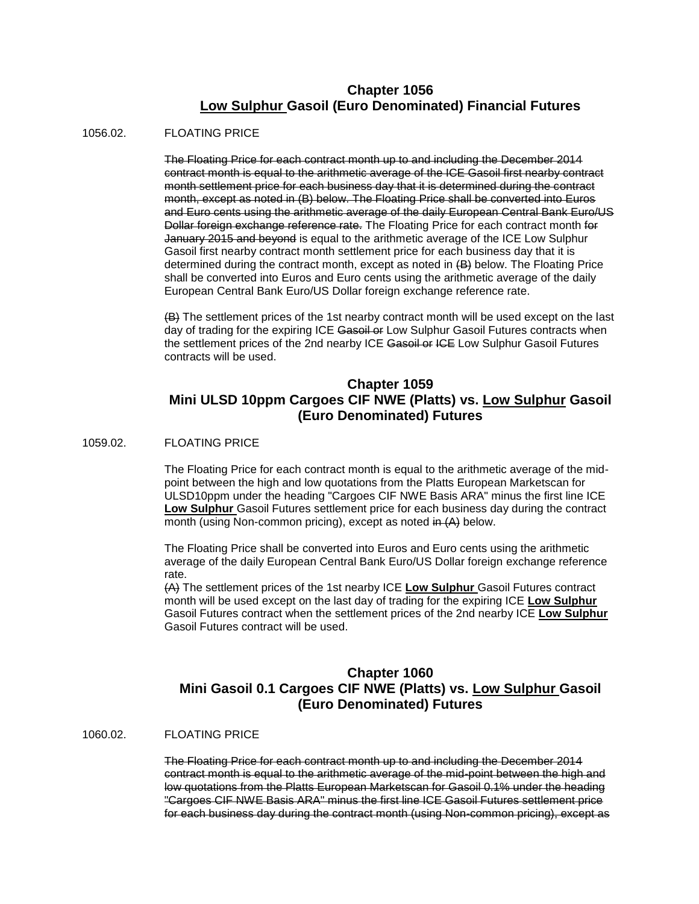## **Chapter 1056 Low Sulphur Gasoil (Euro Denominated) Financial Futures**

### 1056.02. FLOATING PRICE

The Floating Price for each contract month up to and including the December 2014 contract month is equal to the arithmetic average of the ICE Gasoil first nearby contract month settlement price for each business day that it is determined during the contract month, except as noted in (B) below. The Floating Price shall be converted into Euros and Euro cents using the arithmetic average of the daily European Central Bank Euro/US Dollar foreign exchange reference rate. The Floating Price for each contract month for January 2015 and beyond is equal to the arithmetic average of the ICE Low Sulphur Gasoil first nearby contract month settlement price for each business day that it is determined during the contract month, except as noted in (B) below. The Floating Price shall be converted into Euros and Euro cents using the arithmetic average of the daily European Central Bank Euro/US Dollar foreign exchange reference rate.

(B) The settlement prices of the 1st nearby contract month will be used except on the last day of trading for the expiring ICE Gasoil or Low Sulphur Gasoil Futures contracts when the settlement prices of the 2nd nearby ICE Gasoil or ICE Low Sulphur Gasoil Futures contracts will be used.

## **Chapter 1059 Mini ULSD 10ppm Cargoes CIF NWE (Platts) vs. Low Sulphur Gasoil (Euro Denominated) Futures**

### 1059.02. FLOATING PRICE

The Floating Price for each contract month is equal to the arithmetic average of the midpoint between the high and low quotations from the Platts European Marketscan for ULSD10ppm under the heading "Cargoes CIF NWE Basis ARA" minus the first line ICE **Low Sulphur** Gasoil Futures settlement price for each business day during the contract month (using Non-common pricing), except as noted in (A) below.

The Floating Price shall be converted into Euros and Euro cents using the arithmetic average of the daily European Central Bank Euro/US Dollar foreign exchange reference rate.

(A) The settlement prices of the 1st nearby ICE **Low Sulphur** Gasoil Futures contract month will be used except on the last day of trading for the expiring ICE **Low Sulphur** Gasoil Futures contract when the settlement prices of the 2nd nearby ICE **Low Sulphur** Gasoil Futures contract will be used.

## **Chapter 1060 Mini Gasoil 0.1 Cargoes CIF NWE (Platts) vs. Low Sulphur Gasoil (Euro Denominated) Futures**

#### 1060.02. FLOATING PRICE

The Floating Price for each contract month up to and including the December 2014 contract month is equal to the arithmetic average of the mid-point between the high and low quotations from the Platts European Marketscan for Gasoil 0.1% under the heading "Cargoes CIF NWE Basis ARA" minus the first line ICE Gasoil Futures settlement price for each business day during the contract month (using Non-common pricing), except as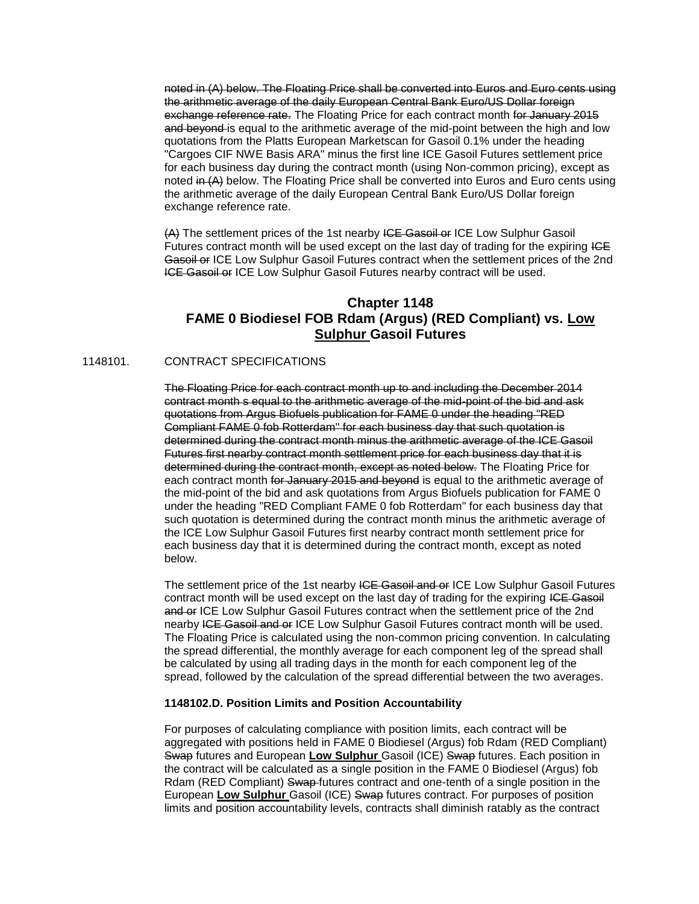noted in (A) below. The Floating Price shall be converted into Euros and Euro cents using the arithmetic average of the daily European Central Bank Euro/US Dollar foreign exchange reference rate. The Floating Price for each contract month for January 2015 and beyond is equal to the arithmetic average of the mid-point between the high and low quotations from the Platts European Marketscan for Gasoil 0.1% under the heading "Cargoes CIF NWE Basis ARA" minus the first line ICE Gasoil Futures settlement price for each business day during the contract month (using Non-common pricing), except as noted in (A) below. The Floating Price shall be converted into Euros and Euro cents using the arithmetic average of the daily European Central Bank Euro/US Dollar foreign exchange reference rate.

(A) The settlement prices of the 1st nearby ICE Gasoil or ICE Low Sulphur Gasoil Futures contract month will be used except on the last day of trading for the expiring ICE Gasoil or ICE Low Sulphur Gasoil Futures contract when the settlement prices of the 2nd ICE Gasoil or ICE Low Sulphur Gasoil Futures nearby contract will be used.

## **Chapter 1148 FAME 0 Biodiesel FOB Rdam (Argus) (RED Compliant) vs. Low Sulphur Gasoil Futures**

### 1148101. CONTRACT SPECIFICATIONS

The Floating Price for each contract month up to and including the December 2014 contract month s equal to the arithmetic average of the mid-point of the bid and ask quotations from Argus Biofuels publication for FAME 0 under the heading "RED Compliant FAME 0 fob Rotterdam" for each business day that such quotation is determined during the contract month minus the arithmetic average of the ICE Gasoil Futures first nearby contract month settlement price for each business day that it is determined during the contract month, except as noted below. The Floating Price for each contract month for January 2015 and beyond is equal to the arithmetic average of the mid-point of the bid and ask quotations from Argus Biofuels publication for FAME 0 under the heading "RED Compliant FAME 0 fob Rotterdam" for each business day that such quotation is determined during the contract month minus the arithmetic average of the ICE Low Sulphur Gasoil Futures first nearby contract month settlement price for each business day that it is determined during the contract month, except as noted below.

The settlement price of the 1st nearby ICE Gasoil and or ICE Low Sulphur Gasoil Futures contract month will be used except on the last day of trading for the expiring ICE Gasoil and or ICE Low Sulphur Gasoil Futures contract when the settlement price of the 2nd nearby ICE Gasoil and or ICE Low Sulphur Gasoil Futures contract month will be used. The Floating Price is calculated using the non-common pricing convention. In calculating the spread differential, the monthly average for each component leg of the spread shall be calculated by using all trading days in the month for each component leg of the spread, followed by the calculation of the spread differential between the two averages.

#### **1148102.D. Position Limits and Position Accountability**

For purposes of calculating compliance with position limits, each contract will be aggregated with positions held in FAME 0 Biodiesel (Argus) fob Rdam (RED Compliant) Swap futures and European **Low Sulphur** Gasoil (ICE) Swap futures. Each position in the contract will be calculated as a single position in the FAME 0 Biodiesel (Argus) fob Rdam (RED Compliant) Swap-futures contract and one-tenth of a single position in the European **Low Sulphur** Gasoil (ICE) Swap futures contract. For purposes of position limits and position accountability levels, contracts shall diminish ratably as the contract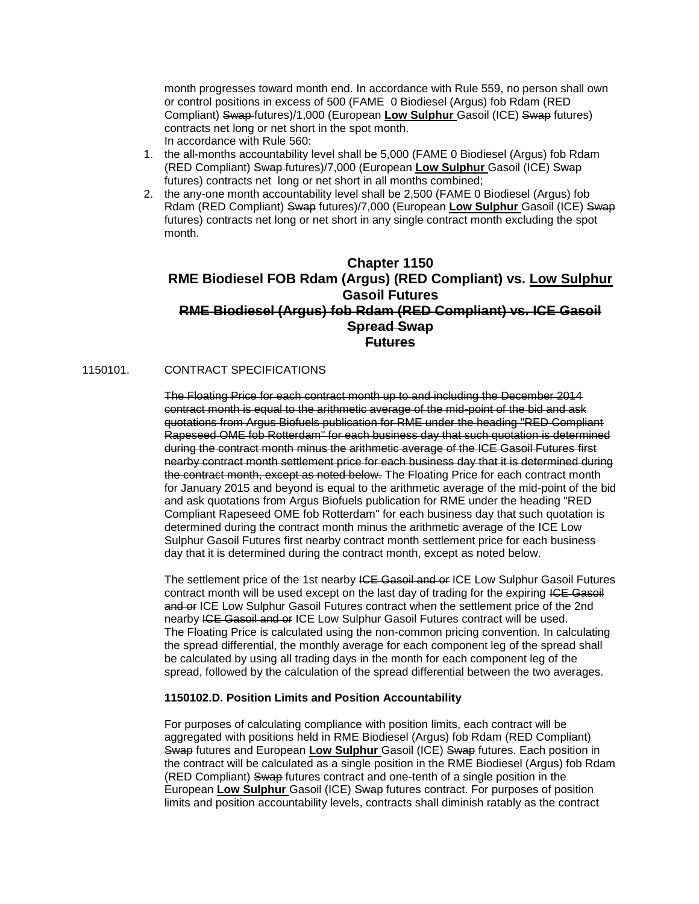month progresses toward month end. In accordance with Rule 559, no person shall own or control positions in excess of 500 (FAME 0 Biodiesel (Argus) fob Rdam (RED Compliant) Swap futures)/1,000 (European **Low Sulphur** Gasoil (ICE) Swap futures) contracts net long or net short in the spot month. In accordance with Rule 560:

- 1. the all-months accountability level shall be 5,000 (FAME 0 Biodiesel (Argus) fob Rdam (RED Compliant) Swap futures)/7,000 (European **Low Sulphur** Gasoil (ICE) Swap futures) contracts net long or net short in all months combined;
- 2. the any-one month accountability level shall be 2,500 (FAME 0 Biodiesel (Argus) fob Rdam (RED Compliant) Swap futures)/7,000 (European **Low Sulphur** Gasoil (ICE) Swap futures) contracts net long or net short in any single contract month excluding the spot month.

## **Chapter 1150 RME Biodiesel FOB Rdam (Argus) (RED Compliant) vs. Low Sulphur Gasoil Futures RME Biodiesel (Argus) fob Rdam (RED Compliant) vs. ICE Gasoil Spread Swap Futures**

### 1150101. CONTRACT SPECIFICATIONS

The Floating Price for each contract month up to and including the December 2014 contract month is equal to the arithmetic average of the mid-point of the bid and ask quotations from Argus Biofuels publication for RME under the heading "RED Compliant Rapeseed OME fob Rotterdam" for each business day that such quotation is determined during the contract month minus the arithmetic average of the ICE Gasoil Futures first nearby contract month settlement price for each business day that it is determined during the contract month, except as noted below. The Floating Price for each contract month for January 2015 and beyond is equal to the arithmetic average of the mid-point of the bid and ask quotations from Argus Biofuels publication for RME under the heading "RED Compliant Rapeseed OME fob Rotterdam" for each business day that such quotation is determined during the contract month minus the arithmetic average of the ICE Low Sulphur Gasoil Futures first nearby contract month settlement price for each business day that it is determined during the contract month, except as noted below.

The settlement price of the 1st nearby ICE Gasoil and or ICE Low Sulphur Gasoil Futures contract month will be used except on the last day of trading for the expiring ICE Gasoil and or ICE Low Sulphur Gasoil Futures contract when the settlement price of the 2nd nearby ICE Gasoil and or ICE Low Sulphur Gasoil Futures contract will be used. The Floating Price is calculated using the non-common pricing convention. In calculating the spread differential, the monthly average for each component leg of the spread shall be calculated by using all trading days in the month for each component leg of the spread, followed by the calculation of the spread differential between the two averages.

#### **1150102.D. Position Limits and Position Accountability**

For purposes of calculating compliance with position limits, each contract will be aggregated with positions held in RME Biodiesel (Argus) fob Rdam (RED Compliant) Swap futures and European **Low Sulphur** Gasoil (ICE) Swap futures. Each position in the contract will be calculated as a single position in the RME Biodiesel (Argus) fob Rdam (RED Compliant) Swap futures contract and one-tenth of a single position in the European **Low Sulphur** Gasoil (ICE) Swap futures contract. For purposes of position limits and position accountability levels, contracts shall diminish ratably as the contract